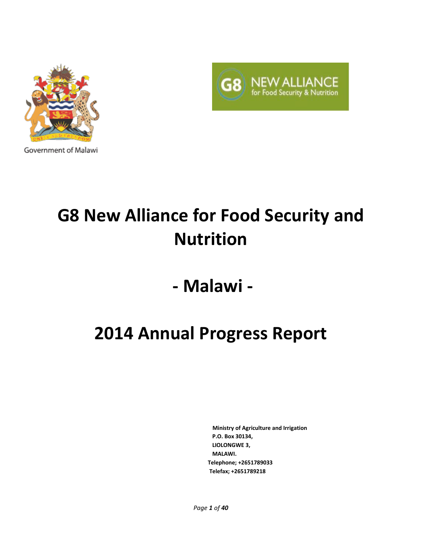



Government of Malawi

# **G8 New Alliance for Food Security and Nutrition**

# **- Malawi -**

# **2014 Annual Progress Report**

 **Ministry of Agriculture and Irrigation P.O. Box 30134, LIOLONGWE 3, MALAWI. Telephone; +2651789033 Telefax; +2651789218**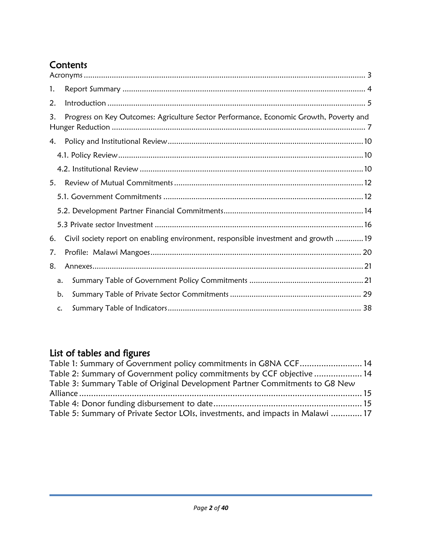# **Contents**

| 1.             |                                                                                        |  |
|----------------|----------------------------------------------------------------------------------------|--|
| 2.             |                                                                                        |  |
| 3.             | Progress on Key Outcomes: Agriculture Sector Performance, Economic Growth, Poverty and |  |
| 4.             |                                                                                        |  |
|                |                                                                                        |  |
|                |                                                                                        |  |
| 5.             |                                                                                        |  |
|                |                                                                                        |  |
|                |                                                                                        |  |
|                |                                                                                        |  |
| 6.             | Civil society report on enabling environment, responsible investment and growth 19     |  |
| 7.             |                                                                                        |  |
| 8.             |                                                                                        |  |
| a.             |                                                                                        |  |
| b.             |                                                                                        |  |
| $\mathsf{C}$ . |                                                                                        |  |

# List of tables and figures

| Table 1: Summary of Government policy commitments in G8NA CCF 14                |  |
|---------------------------------------------------------------------------------|--|
| Table 2: Summary of Government policy commitments by CCF objective  14          |  |
| Table 3: Summary Table of Original Development Partner Commitments to G8 New    |  |
|                                                                                 |  |
|                                                                                 |  |
| Table 5: Summary of Private Sector LOIs, investments, and impacts in Malawi  17 |  |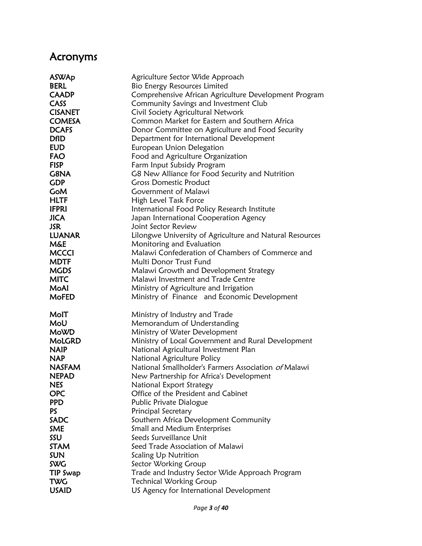# <span id="page-2-0"></span>Acronyms

| <b>ASWAp</b>   | Agriculture Sector Wide Approach                         |
|----------------|----------------------------------------------------------|
| <b>BERL</b>    | Bio Energy Resources Limited                             |
| <b>CAADP</b>   | Comprehensive African Agriculture Development Program    |
| <b>CASS</b>    | Community Savings and Investment Club                    |
| <b>CISANET</b> | Civil Society Agricultural Network                       |
| <b>COMESA</b>  | Common Market for Eastern and Southern Africa            |
| <b>DCAFS</b>   | Donor Committee on Agriculture and Food Security         |
| <b>DfID</b>    | Department for International Development                 |
| <b>EUD</b>     | European Union Delegation                                |
| FAO            | Food and Agriculture Organization                        |
| <b>FISP</b>    | Farm Input Subsidy Program                               |
| G8NA           | G8 New Alliance for Food Security and Nutrition          |
| <b>GDP</b>     | <b>Gross Domestic Product</b>                            |
| <b>GoM</b>     | Government of Malawi                                     |
| HLTF           | High Level Task Force                                    |
| <b>IFPRI</b>   | International Food Policy Research Institute             |
| <b>JICA</b>    | Japan International Cooperation Agency                   |
| JSR.           | Joint Sector Review                                      |
| <b>LUANAR</b>  | Lilongwe University of Agriculture and Natural Resources |
| <b>M&amp;E</b> | Monitoring and Evaluation                                |
| <b>MCCCI</b>   | Malawi Confederation of Chambers of Commerce and         |
| <b>MDTF</b>    | Multi Donor Trust Fund                                   |
| <b>MGDS</b>    | Malawi Growth and Development Strategy                   |
| <b>MITC</b>    | Malawi Investment and Trade Centre                       |
| <b>MoAl</b>    | Ministry of Agriculture and Irrigation                   |
| <b>MoFED</b>   | Ministry of Finance and Economic Development             |
| MolT           | Ministry of Industry and Trade                           |
| MoU            | Memorandum of Understanding                              |
| <b>MoWD</b>    | Ministry of Water Development                            |
| <b>MoLGRD</b>  | Ministry of Local Government and Rural Development       |
| <b>NAIP</b>    | National Agricultural Investment Plan                    |
| <b>NAP</b>     | National Agriculture Policy                              |
| <b>NASFAM</b>  | National Smallholder's Farmers Association of Malawi     |
| <b>NEPAD</b>   | New Partnership for Africa's Development                 |
| <b>NES</b>     | National Export Strategy                                 |
| <b>OPC</b>     | Office of the President and Cabinet                      |
| <b>PPD</b>     | Public Private Dialogue                                  |
| PS.            | Principal Secretary                                      |
| <b>SADC</b>    | Southern Africa Development Community                    |
| <b>SME</b>     | Small and Medium Enterprises                             |
| SSU            | Seeds Surveillance Unit                                  |
| <b>STAM</b>    | Seed Trade Association of Malawi                         |
| <b>SUN</b>     | <b>Scaling Up Nutrition</b>                              |
| <b>SWG</b>     | Sector Working Group                                     |
| TIP Swap       | Trade and Industry Sector Wide Approach Program          |
| <b>TWG</b>     | <b>Technical Working Group</b>                           |
| <b>USAID</b>   | US Agency for International Development                  |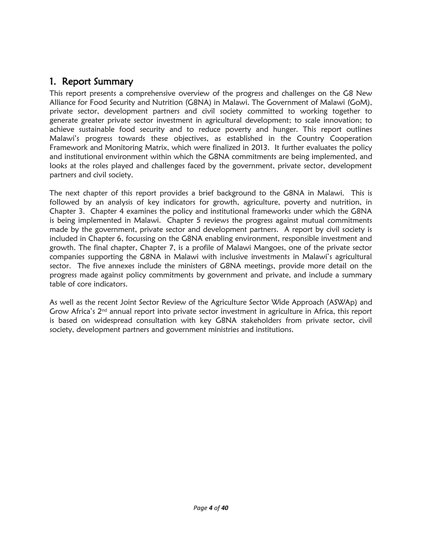## <span id="page-3-0"></span>1. Report Summary

This report presents a comprehensive overview of the progress and challenges on the G8 New Alliance for Food Security and Nutrition (G8NA) in Malawi. The Government of Malawi (GoM), private sector, development partners and civil society committed to working together to generate greater private sector investment in agricultural development; to scale innovation; to achieve sustainable food security and to reduce poverty and hunger. This report outlines Malawi's progress towards these objectives, as established in the Country Cooperation Framework and Monitoring Matrix, which were finalized in 2013. It further evaluates the policy and institutional environment within which the G8NA commitments are being implemented, and looks at the roles played and challenges faced by the government, private sector, development partners and civil society.

The next chapter of this report provides a brief background to the G8NA in Malawi. This is followed by an analysis of key indicators for growth, agriculture, poverty and nutrition, in Chapter 3. Chapter 4 examines the policy and institutional frameworks under which the G8NA is being implemented in Malawi. Chapter 5 reviews the progress against mutual commitments made by the government, private sector and development partners. A report by civil society is included in Chapter 6, focussing on the G8NA enabling environment, responsible investment and growth. The final chapter, Chapter 7, is a profile of Malawi Mangoes, one of the private sector companies supporting the G8NA in Malawi with inclusive investments in Malawi's agricultural sector. The five annexes include the ministers of G8NA meetings, provide more detail on the progress made against policy commitments by government and private, and include a summary table of core indicators.

As well as the recent Joint Sector Review of the Agriculture Sector Wide Approach (ASWAp) and Grow Africa's  $2<sup>nd</sup>$  annual report into private sector investment in agriculture in Africa, this report is based on widespread consultation with key G8NA stakeholders from private sector, civil society, development partners and government ministries and institutions.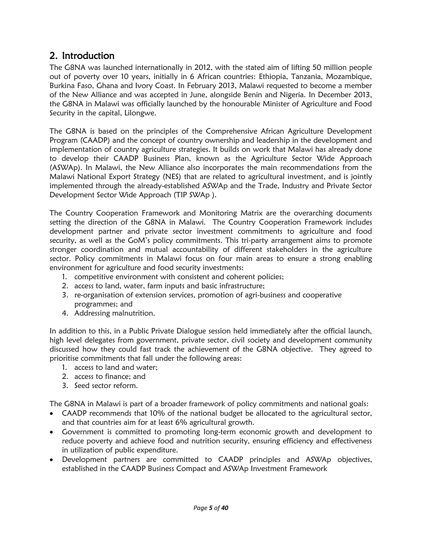## <span id="page-4-0"></span>2. Introduction

The G8NA was launched internationally in 2012, with the stated aim of lifting 50 million people out of poverty over 10 years, initially in 6 African countries: Ethiopia, Tanzania, Mozambique, Burkina Faso, Ghana and Ivory Coast. In February 2013, Malawi requested to become a member of the New Alliance and was accepted in June, alongside Benin and Nigeria. In December 2013, the G8NA in Malawi was officially launched by the honourable Minister of Agriculture and Food Security in the capital, Lilongwe.

The G8NA is based on the principles of the Comprehensive African Agriculture Development Program (CAADP) and the concept of country ownership and leadership in the development and implementation of country agriculture strategies. It builds on work that Malawi has already done to develop their CAADP Business Plan, known as the Agriculture Sector Wide Approach (ASWAp). In Malawi, the New Alliance also incorporates the main recommendations from the Malawi National Export Strategy (NES) that are related to agricultural investment, and is jointly implemented through the already-established ASWAp and the Trade, Industry and Private Sector Development Sector Wide Approach (TIP SWAp ).

The Country Cooperation Framework and Monitoring Matrix are the overarching documents setting the direction of the G8NA in Malawi. The Country Cooperation Framework includes development partner and private sector investment commitments to agriculture and food security, as well as the GoM's policy commitments. This tri-party arrangement aims to promote stronger coordination and mutual accountability of different stakeholders in the agriculture sector. Policy commitments in Malawi focus on four main areas to ensure a strong enabling environment for agriculture and food security investments:

- 1. competitive environment with consistent and coherent policies;
- 2. access to land, water, farm inputs and basic infrastructure;
- 3. re-organisation of extension services, promotion of agri-business and cooperative programmes; and
- 4. Addressing malnutrition.

In addition to this, in a Public Private Dialogue session held immediately after the official launch, high level delegates from government, private sector, civil society and development community discussed how they could fast track the achievement of the G8NA objective. They agreed to prioritise commitments that fall under the following areas:

- 1. access to land and water;
- 2. access to finance; and
- 3. Seed sector reform.

The G8NA in Malawi is part of a broader framework of policy commitments and national goals:

- CAADP recommends that 10% of the national budget be allocated to the agricultural sector, and that countries aim for at least 6% agricultural growth.
- Government is committed to promoting long-term economic growth and development to reduce poverty and achieve food and nutrition security, ensuring efficiency and effectiveness in utilization of public expenditure.
- Development partners are committed to CAADP principles and ASWAp objectives, established in the CAADP Business Compact and ASWAp Investment Framework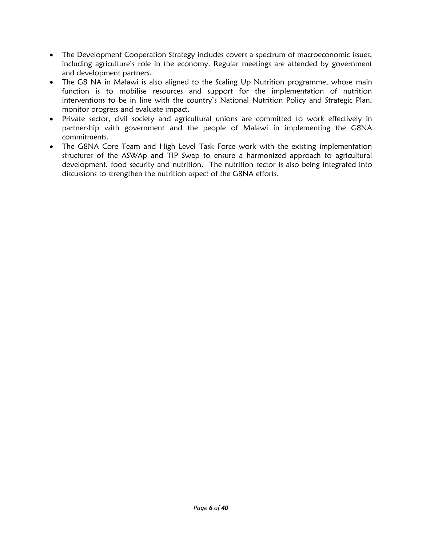- The Development Cooperation Strategy includes covers a spectrum of macroeconomic issues, including agriculture's role in the economy. Regular meetings are attended by government and development partners.
- The G8 NA in Malawi is also aligned to the Scaling Up Nutrition programme, whose main function is to mobilise resources and support for the implementation of nutrition interventions to be in line with the country's National Nutrition Policy and Strategic Plan, monitor progress and evaluate impact.
- Private sector, civil society and agricultural unions are committed to work effectively in partnership with government and the people of Malawi in implementing the G8NA commitments.
- The G8NA Core Team and High Level Task Force work with the existing implementation structures of the ASWAp and TIP Swap to ensure a harmonized approach to agricultural development, food security and nutrition. The nutrition sector is also being integrated into discussions to strengthen the nutrition aspect of the G8NA efforts.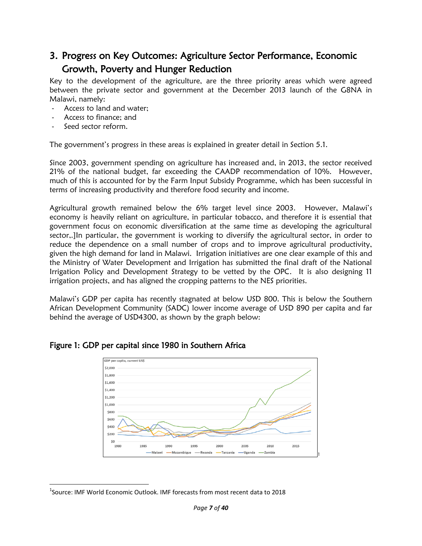## <span id="page-6-0"></span>3. Progress on Key Outcomes: Agriculture Sector Performance, Economic Growth, Poverty and Hunger Reduction

Key to the development of the agriculture, are the three priority areas which were agreed between the private sector and government at the December 2013 launch of the G8NA in Malawi, namely:

- Access to land and water;
- Access to finance; and
- Seed sector reform.

 $\overline{\phantom{a}}$ 

The government's progress in these areas is explained in greater detail in Section 5.1.

Since 2003, government spending on agriculture has increased and, in 2013, the sector received 21% of the national budget, far exceeding the CAADP recommendation of 10%. However, much of this is accounted for by the Farm Input Subsidy Programme, which has been successful in terms of increasing productivity and therefore food security and income.

Agricultural growth remained below the 6% target level since 2003. However, Malawi's economy is heavily reliant on agriculture, in particular tobacco, and therefore it is essential that government focus on economic diversification at the same time as developing the agricultural sector,.]In particular, the government is working to diversify the agricultural sector, in order to reduce the dependence on a small number of crops and to improve agricultural productivity, given the high demand for land in Malawi. Irrigation initiatives are one clear example of this and the Ministry of Water Development and Irrigation has submitted the final draft of the National Irrigation Policy and Development Strategy to be vetted by the OPC. It is also designing 11 irrigation projects, and has aligned the cropping patterns to the NES priorities.

Malawi's GDP per capita has recently stagnated at below USD 800. This is below the Southern African Development Community (SADC) lower income average of USD 890 per capita and far behind the average of USD4300, as shown by the graph below:



#### Figure 1: GDP per capital since 1980 in Southern Africa

<sup>&</sup>lt;sup>1</sup>Source: IMF World Economic Outlook. IMF forecasts from most recent data to 2018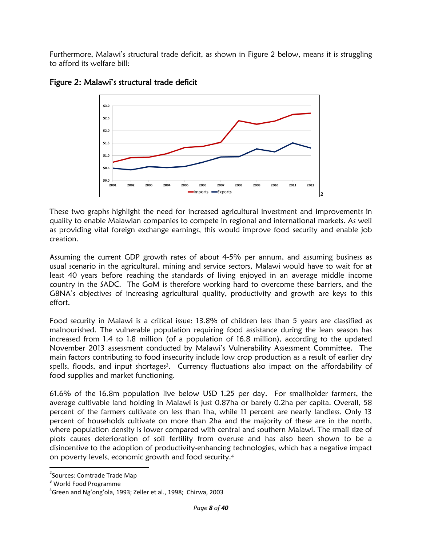Furthermore, Malawi's structural trade deficit, as shown in [Figure 2](#page-7-0) below, means it is struggling to afford its welfare bill:



#### <span id="page-7-0"></span>Figure 2: Malawi's structural trade deficit

These two graphs highlight the need for increased agricultural investment and improvements in quality to enable Malawian companies to compete in regional and international markets. As well as providing vital foreign exchange earnings, this would improve food security and enable job creation.

Assuming the current GDP growth rates of about 4-5% per annum, and assuming business as usual scenario in the agricultural, mining and service sectors, Malawi would have to wait for at least 40 years before reaching the standards of living enjoyed in an average middle income country in the SADC. The GoM is therefore working hard to overcome these barriers, and the G8NA's objectives of increasing agricultural quality, productivity and growth are keys to this effort.

Food security in Malawi is a critical issue: 13.8% of children less than 5 years are classified as malnourished. The vulnerable population requiring food assistance during the lean season has increased from 1.4 to 1.8 million (of a population of 16.8 million), according to the updated November 2013 assessment conducted by Malawi's Vulnerability Assessment Committee. The main factors contributing to food insecurity include low crop production as a result of earlier dry spells, floods, and input shortages<sup>3</sup>. Currency fluctuations also impact on the affordability of food supplies and market functioning.

61.6% of the 16.8m population live below USD 1.25 per day. For smallholder farmers, the average cultivable land holding in Malawi is just 0.87ha or barely 0.2ha per capita. Overall, 58 percent of the farmers cultivate on less than 1ha, while 11 percent are nearly landless. Only 13 percent of households cultivate on more than 2ha and the majority of these are in the north, where population density is lower compared with central and southern Malawi. The small size of plots causes deterioration of soil fertility from overuse and has also been shown to be a disincentive to the adoption of productivity-enhancing technologies, which has a negative impact on poverty levels, economic growth and food security.<sup>4</sup>

 $\overline{\phantom{a}}$ 

<sup>&</sup>lt;sup>2</sup>Sources: Comtrade Trade Map

<sup>3</sup> World Food Programme

 ${}^{4}$ Green and Ng'ong'ola, 1993; Zeller et al., 1998; Chirwa, 2003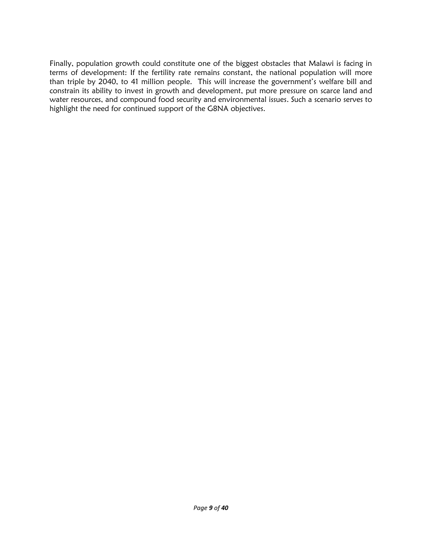Finally, population growth could constitute one of the biggest obstacles that Malawi is facing in terms of development: If the fertility rate remains constant, the national population will more than triple by 2040, to 41 million people. This will increase the government's welfare bill and constrain its ability to invest in growth and development, put more pressure on scarce land and water resources, and compound food security and environmental issues. Such a scenario serves to highlight the need for continued support of the G8NA objectives.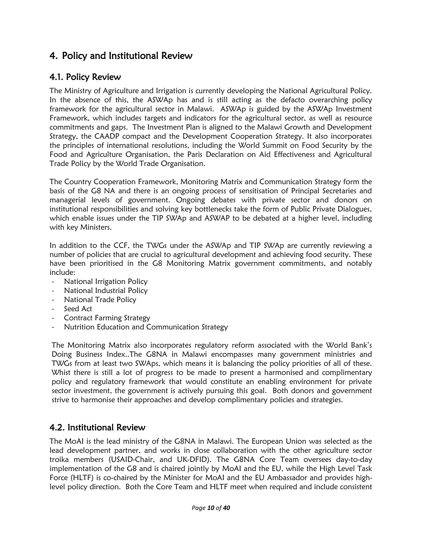## <span id="page-9-0"></span>4. Policy and Institutional Review

### <span id="page-9-1"></span>4.1. Policy Review

The Ministry of Agriculture and Irrigation is currently developing the National Agricultural Policy. In the absence of this, the ASWAp has and is still acting as the defacto overarching policy framework for the agricultural sector in Malawi. ASWAp is guided by the ASWAp Investment Framework, which includes targets and indicators for the agricultural sector, as well as resource commitments and gaps. The Investment Plan is aligned to the Malawi Growth and Development Strategy, the CAADP compact and the Development Cooperation Strategy. It also incorporates the principles of international resolutions, including the World Summit on Food Security by the Food and Agriculture Organisation, the Paris Declaration on Aid Effectiveness and Agricultural Trade Policy by the World Trade Organisation.

The Country Cooperation Framework, Monitoring Matrix and Communication Strategy form the basis of the G8 NA and there is an ongoing process of sensitisation of Principal Secretaries and managerial levels of government. Ongoing debates with private sector and donors on institutional responsibilities and solving key bottlenecks take the form of Public Private Dialogues, which enable issues under the TIP SWAp and ASWAP to be debated at a higher level, including with key Ministers.

In addition to the CCF, the TWGs under the ASWAp and TIP SWAp are currently reviewing a number of policies that are crucial to agricultural development and achieving food security. These have been prioritised in the G8 Monitoring Matrix government commitments, and notably include:

- National Irrigation Policy
- National Industrial Policy
- National Trade Policy
- Seed Act
- Contract Farming Strategy
- Nutrition Education and Communication Strategy

The Monitoring Matrix also incorporates regulatory reform associated with the World Bank's Doing Business Index..The G8NA in Malawi encompasses many government ministries and TWGs from at least two SWAps, which means it is balancing the policy priorities of all of these. Whist there is still a lot of progress to be made to present a harmonised and complimentary policy and regulatory framework that would constitute an enabling environment for private sector investment, the government is actively pursuing this goal. Both donors and government strive to harmonise their approaches and develop complimentary policies and strategies.

#### <span id="page-9-2"></span>4.2. Institutional Review

The MoAI is the lead ministry of the G8NA in Malawi. The European Union was selected as the lead development partner, and works in close collaboration with the other agriculture sector troika members (USAID-Chair, and UK-DFID). The G8NA Core Team oversees day-to-day implementation of the G8 and is chaired jointly by MoAI and the EU, while the High Level Task Force (HLTF) is co-chaired by the Minister for MoAI and the EU Ambassador and provides highlevel policy direction. Both the Core Team and HLTF meet when required and include consistent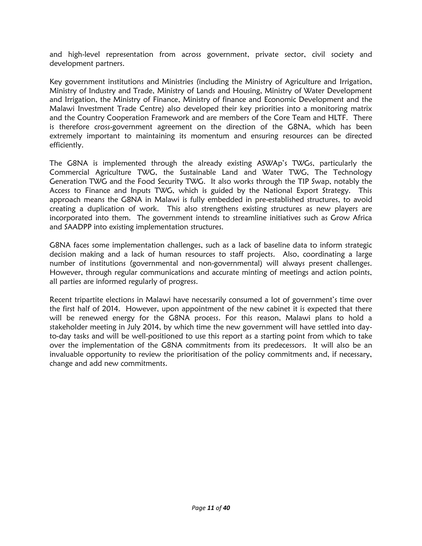and high-level representation from across government, private sector, civil society and development partners.

Key government institutions and Ministries (including the Ministry of Agriculture and Irrigation, Ministry of Industry and Trade, Ministry of Lands and Housing, Ministry of Water Development and Irrigation, the Ministry of Finance, Ministry of finance and Economic Development and the Malawi Investment Trade Centre) also developed their key priorities into a monitoring matrix and the Country Cooperation Framework and are members of the Core Team and HLTF. There is therefore cross-government agreement on the direction of the G8NA, which has been extremely important to maintaining its momentum and ensuring resources can be directed efficiently.

The G8NA is implemented through the already existing ASWAp's TWGs, particularly the Commercial Agriculture TWG, the Sustainable Land and Water TWG, The Technology Generation TWG and the Food Security TWG. It also works through the TIP Swap, notably the Access to Finance and Inputs TWG, which is guided by the National Export Strategy. This approach means the G8NA in Malawi is fully embedded in pre-established structures, to avoid creating a duplication of work. This also strengthens existing structures as new players are incorporated into them. The government intends to streamline initiatives such as Grow Africa and SAADPP into existing implementation structures.

G8NA faces some implementation challenges, such as a lack of baseline data to inform strategic decision making and a lack of human resources to staff projects. Also, coordinating a large number of institutions (governmental and non-governmental) will always present challenges. However, through regular communications and accurate minting of meetings and action points, all parties are informed regularly of progress.

Recent tripartite elections in Malawi have necessarily consumed a lot of government's time over the first half of 2014. However, upon appointment of the new cabinet it is expected that there will be renewed energy for the G8NA process. For this reason, Malawi plans to hold a stakeholder meeting in July 2014, by which time the new government will have settled into dayto-day tasks and will be well-positioned to use this report as a starting point from which to take over the implementation of the G8NA commitments from its predecessors. It will also be an invaluable opportunity to review the prioritisation of the policy commitments and, if necessary, change and add new commitments.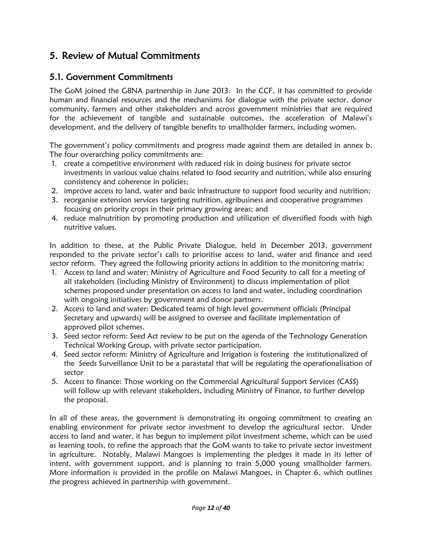## <span id="page-11-0"></span>5. Review of Mutual Commitments

#### <span id="page-11-1"></span>5.1. Government Commitments

The GoM joined the G8NA partnership in June 2013. In the CCF, it has committed to provide human and financial resources and the mechanisms for dialogue with the private sector, donor community, farmers and other stakeholders and across government ministries that are required for the achievement of tangible and sustainable outcomes, the acceleration of Malawi's development, and the delivery of tangible benefits to smallholder farmers, including women.

The government's policy commitments and progress made against them are detailed in annex b. The four overarching policy commitments are:

- 1. create a competitive environment with reduced risk in doing business for private sector investments in various value chains related to food security and nutrition, while also ensuring consistency and coherence in policies;
- 2. improve access to land, water and basic infrastructure to support food security and nutrition;
- 3. reorganise extension services targeting nutrition, agribusiness and cooperative programmes focusing on priority crops in their primary growing areas; and
- 4. reduce malnutrition by promoting production and utilization of diversified foods with high nutritive values.

In addition to these, at the Public Private Dialogue, held in December 2013, government responded to the private sector's calls to prioritise access to land, water and finance and seed sector reform. They agreed the following priority actions in addition to the monitoring matrix:

- 1. Access to land and water: Ministry of Agriculture and Food Security to call for a meeting of all stakeholders (including Ministry of Environment) to discuss implementation of pilot schemes proposed under presentation on access to land and water, including coordination with ongoing initiatives by government and donor partners.
- 2. Access to land and water: Dedicated teams of high level government officials (Principal Secretary and upwards) will be assigned to oversee and facilitate implementation of approved pilot schemes.
- 3. Seed sector reform: Seed Act review to be put on the agenda of the Technology Generation Technical Working Group, with private sector participation.
- 4. Seed sector reform: Ministry of Agriculture and Irrigation is fostering the institutionalized of the Seeds Surveillance Unit to be a parastatal that will be regulating the operationalisation of sector
- 5. Access to finance: Those working on the Commercial Agricultural Support Services (CASS) will follow up with relevant stakeholders, including Ministry of Finance, to further develop the proposal.

In all of these areas, the government is demonstrating its ongoing commitment to creating an enabling environment for private sector investment to develop the agricultural sector. Under access to land and water, it has begun to implement pilot investment scheme, which can be used as learning tools, to refine the approach that the GoM wants to take to private sector investment in agriculture. Notably, Malawi Mangoes is implementing the pledges it made in its letter of intent, with government support, and is planning to train 5,000 young smallholder farmers. More information is provided in the profile on Malawi Mangoes, in Chapter 6, which outlines the progress achieved in partnership with government.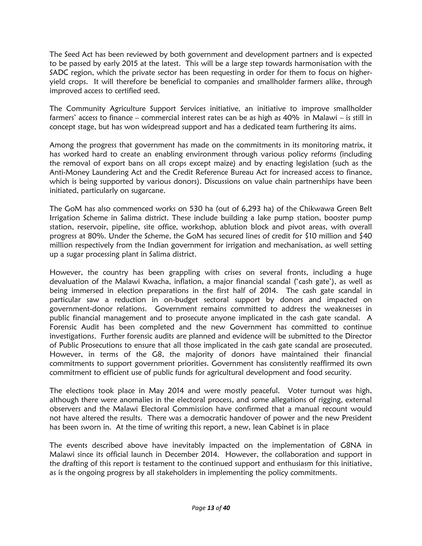The Seed Act has been reviewed by both government and development partners and is expected to be passed by early 2015 at the latest. This will be a large step towards harmonisation with the SADC region, which the private sector has been requesting in order for them to focus on higheryield crops. It will therefore be beneficial to companies and smallholder farmers alike, through improved access to certified seed.

The Community Agriculture Support Services initiative, an initiative to improve smallholder farmers' access to finance – commercial interest rates can be as high as 40% in Malawi – is still in concept stage, but has won widespread support and has a dedicated team furthering its aims.

Among the progress that government has made on the commitments in its monitoring matrix, it has worked hard to create an enabling environment through various policy reforms (including the removal of export bans on all crops except maize) and by enacting legislation (such as the Anti-Money Laundering Act and the Credit Reference Bureau Act for increased access to finance, which is being supported by various donors). Discussions on value chain partnerships have been initiated, particularly on sugarcane.

The GoM has also commenced works on 530 ha (out of 6,293 ha) of the Chikwawa Green Belt Irrigation Scheme in Salima district. These include building a lake pump station, booster pump station, reservoir, pipeline, site office, workshop, ablution block and pivot areas, with overall progress at 80%. Under the Scheme, the GoM has secured lines of credit for \$10 million and \$40 million respectively from the Indian government for irrigation and mechanisation, as well setting up a sugar processing plant in Salima district.

However, the country has been grappling with crises on several fronts, including a huge devaluation of the Malawi Kwacha, inflation, a major financial scandal ('cash gate'), as well as being immersed in election preparations in the first half of 2014. The cash gate scandal in particular saw a reduction in on-budget sectoral support by donors and impacted on government-donor relations. Government remains committed to address the weaknesses in public financial management and to prosecute anyone implicated in the cash gate scandal. A Forensic Audit has been completed and the new Government has committed to continue investigations. Further forensic audits are planned and evidence will be submitted to the Director of Public Prosecutions to ensure that all those implicated in the cash gate scandal are prosecuted. However, in terms of the G8, the majority of donors have maintained their financial commitments to support government priorities. Government has consistently reaffirmed its own commitment to efficient use of public funds for agricultural development and food security.

The elections took place in May 2014 and were mostly peaceful. Voter turnout was high, although there were anomalies in the electoral process, and some allegations of rigging, external observers and the Malawi Electoral Commission have confirmed that a manual recount would not have altered the results. There was a democratic handover of power and the new President has been sworn in. At the time of writing this report, a new, lean Cabinet is in place

The events described above have inevitably impacted on the implementation of G8NA in Malawi since its official launch in December 2014. However, the collaboration and support in the drafting of this report is testament to the continued support and enthusiasm for this initiative, as is the ongoing progress by all stakeholders in implementing the policy commitments.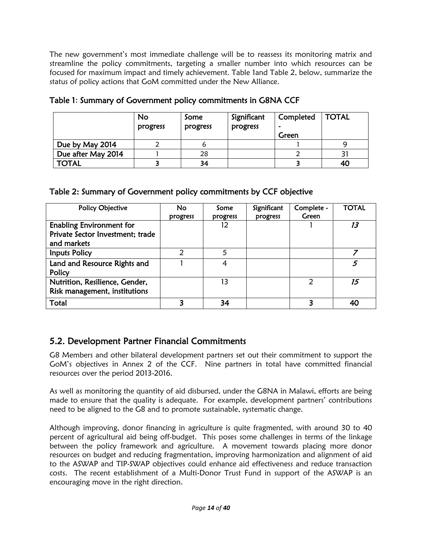The new government's most immediate challenge will be to reassess its monitoring matrix and streamline the policy commitments, targeting a smaller number into which resources can be focused for maximum impact and timely achievement. [Table 1a](#page-13-1)nd [Table 2,](#page-13-2) below, summarize the status of policy actions that GoM committed under the New Alliance.

|                    | No<br>progress | Some<br>progress | Significant<br>progress | Completed<br>Green | <b>TOTAL</b> |
|--------------------|----------------|------------------|-------------------------|--------------------|--------------|
| Due by May 2014    |                | 6                |                         |                    |              |
| Due after May 2014 |                | 28               |                         |                    |              |
| <b>TOTAL</b>       |                | 34               |                         |                    | 40           |

#### <span id="page-13-1"></span>Table 1: Summary of Government policy commitments in G8NA CCF

#### <span id="page-13-2"></span>Table 2: Summary of Government policy commitments by CCF objective

| Policy Objective                                                                   | <b>No</b><br>progress | Some<br>progress | Significant<br>progress | Complete -<br>Green | <b>TOTAL</b> |
|------------------------------------------------------------------------------------|-----------------------|------------------|-------------------------|---------------------|--------------|
| <b>Enabling Environment for</b><br>Private Sector Investment; trade<br>and markets |                       | 12               |                         |                     | 13           |
| <b>Inputs Policy</b>                                                               | 2                     | 5                |                         |                     |              |
| Land and Resource Rights and<br>Policy                                             |                       | 4                |                         |                     | 5            |
| Nutrition, Resilience, Gender,<br>Risk management, institutions                    |                       | 13               |                         | $\mathcal{P}$       | 15           |
| Total                                                                              | ર                     | 34               |                         |                     | 40           |

### <span id="page-13-0"></span>5.2. Development Partner Financial Commitments

G8 Members and other bilateral development partners set out their commitment to support the GoM's objectives in Annex 2 of the CCF. Nine partners in total have committed financial resources over the period 2013-2016.

As well as monitoring the quantity of aid disbursed, under the G8NA in Malawi, efforts are being made to ensure that the quality is adequate. For example, development partners' contributions need to be aligned to the G8 and to promote sustainable, systematic change.

Although improving, donor financing in agriculture is quite fragmented, with around 30 to 40 percent of agricultural aid being off-budget. This poses some challenges in terms of the linkage between the policy framework and agriculture. A movement towards placing more donor resources on budget and reducing fragmentation, improving harmonization and alignment of aid to the ASWAP and TIP-SWAP objectives could enhance aid effectiveness and reduce transaction costs. The recent establishment of a Multi-Donor Trust Fund in support of the ASWAP is an encouraging move in the right direction.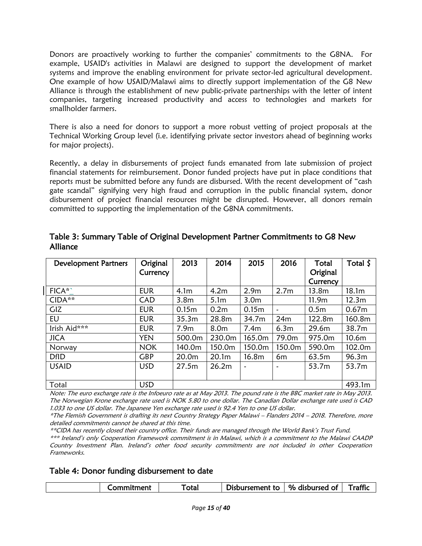Donors are proactively working to further the companies' commitments to the G8NA. For example, USAID's activities in Malawi are designed to support the development of market systems and improve the enabling environment for private sector-led agricultural development. One example of how USAID/Malawi aims to directly support implementation of the G8 New Alliance is through the establishment of new public-private partnerships with the letter of intent companies, targeting increased productivity and access to technologies and markets for smallholder farmers.

There is also a need for donors to support a more robust vetting of project proposals at the Technical Working Group level (i.e. identifying private sector investors ahead of beginning works for major projects).

Recently, a delay in disbursements of project funds emanated from late submission of project financial statements for reimbursement. Donor funded projects have put in place conditions that reports must be submitted before any funds are disbursed. With the recent development of "cash gate scandal" signifying very high fraud and corruption in the public financial system, donor disbursement of project financial resources might be disrupted. However, all donors remain committed to supporting the implementation of the G8NA commitments.

| <b>Development Partners</b> | Original   | 2013              | 2014             | 2015             | 2016                  | Total             | Total $\zeta$     |
|-----------------------------|------------|-------------------|------------------|------------------|-----------------------|-------------------|-------------------|
|                             | Currency   |                   |                  |                  |                       | Original          |                   |
|                             |            |                   |                  |                  |                       | Currency          |                   |
| FICA*`                      | <b>EUR</b> | 4.1 <sub>m</sub>  | 4.2 <sub>m</sub> | 2.9 <sub>m</sub> | 2.7 <sub>m</sub>      | 13.8m             | 18.1 <sub>m</sub> |
| CIDA**                      | <b>CAD</b> | 3.8 <sub>m</sub>  | 5.1 <sub>m</sub> | 3.0 <sub>m</sub> |                       | 11.9 <sub>m</sub> | 12.3 <sub>m</sub> |
| GIZ                         | <b>EUR</b> | 0.15 <sub>m</sub> | 0.2 <sub>m</sub> | 0.15m            | $\tilde{\phantom{a}}$ | 0.5 <sub>m</sub>  | 0.67 <sub>m</sub> |
| EU                          | <b>EUR</b> | 35.3m             | 28.8m            | 34.7m            | 24m                   | 122.8m            | 160.8m            |
| Irish Aid***                | <b>EUR</b> | 7.9 <sub>m</sub>  | 8.0 <sub>m</sub> | 7.4 <sub>m</sub> | 6.3 <sub>m</sub>      | 29.6m             | 38.7m             |
| <b>JICA</b>                 | <b>YEN</b> | 500.0m            | 230.0m           | 165.0m           | 79.0m                 | 975.0m            | 10.6 <sub>m</sub> |
| Norway                      | <b>NOK</b> | 140.0m            | 150.0m           | 150.0m           | 150.0m                | 590.0m            | 102.0m            |
| <b>DfID</b>                 | <b>GBP</b> | 20.0m             | 20.1m            | 16.8m            | 6m                    | 63.5m             | 96.3m             |
| <b>USAID</b>                | <b>USD</b> | 27.5m             | 26.2m            |                  | ٠                     | 53.7m             | 53.7m             |
|                             |            |                   |                  |                  |                       |                   |                   |
| Total                       | <b>USD</b> |                   |                  |                  |                       |                   | 493.1m            |

<span id="page-14-0"></span>Table 3: Summary Table of Original Development Partner Commitments to G8 New Alliance

Note: The euro exchange rate is the Infoeuro rate as at May 2013. The pound rate is the BBC market rate in May 2013. The Norwegian Krone exchange rate used is NOK 5.80 to one dollar. The Canadian Dollar exchange rate used is CAD 1.033 to one US dollar. The Japanese Yen exchange rate used is 92.4 Yen to one US dollar.

\*The Flemish Government is drafting its next Country Strategy Paper Malawi – Flanders 2014 – 2018. Therefore, more detailed commitments cannot be shared at this time.

\*\*CIDA has recently closed their country office. Their funds are managed through the World Bank's Trust Fund. \*\*\* Ireland's only Cooperation Framework commitment is in Malawi, which is a commitment to the Malawi CAADP Country Investment Plan. Ireland's other food security commitments are not included in other Cooperation Frameworks.

<span id="page-14-1"></span>

| Table 4: Donor funding disbursement to date |  |
|---------------------------------------------|--|
|---------------------------------------------|--|

| `otal<br>_ommitment_ |  |                 |                |         |
|----------------------|--|-----------------|----------------|---------|
|                      |  | Disbursement to | % disbursed of | Traffic |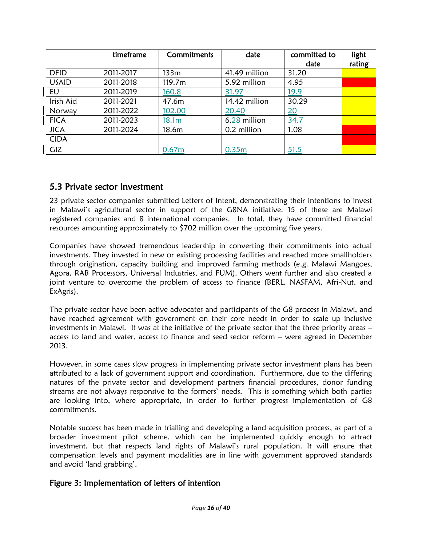|              | timeframe | <b>Commitments</b> | date          | committed to<br>date | light<br>rating |
|--------------|-----------|--------------------|---------------|----------------------|-----------------|
| <b>DFID</b>  | 2011-2017 | 133m               | 41.49 million | 31.20                |                 |
| <b>USAID</b> | 2011-2018 | 119.7m             | 5.92 million  | 4.95                 |                 |
| EU           | 2011-2019 | 160.8              | 31.97         | 19.9                 |                 |
| Irish Aid    | 2011-2021 | 47.6m              | 14.42 million | 30.29                |                 |
| Norway       | 2011-2022 | 102.00             | 20.40         | 20                   |                 |
| <b>FICA</b>  | 2011-2023 | 18.1m              | 6.28 million  | 34.7                 |                 |
| <b>JICA</b>  | 2011-2024 | 18.6m              | 0.2 million   | 1.08                 |                 |
| <b>CIDA</b>  |           |                    |               |                      |                 |
| GIZ          |           | 0.67 <sub>m</sub>  | 0.35m         | 51.5                 |                 |

#### <span id="page-15-0"></span>5.3 Private sector Investment

23 private sector companies submitted Letters of Intent, demonstrating their intentions to invest in Malawi's agricultural sector in support of the G8NA initiative. 15 of these are Malawi registered companies and 8 international companies. In total, they have committed financial resources amounting approximately to \$702 million over the upcoming five years.

Companies have showed tremendous leadership in converting their commitments into actual investments. They invested in new or existing processing facilities and reached more smallholders through origination, capacity building and improved farming methods (e.g. Malawi Mangoes, Agora, RAB Processors, Universal Industries, and FUM). Others went further and also created a joint venture to overcome the problem of access to finance (BERL, NASFAM, Afri-Nut, and ExAgris).

The private sector have been active advocates and participants of the G8 process in Malawi, and have reached agreement with government on their core needs in order to scale up inclusive investments in Malawi. It was at the initiative of the private sector that the three priority areas – access to land and water, access to finance and seed sector reform – were agreed in December 2013.

However, in some cases slow progress in implementing private sector investment plans has been attributed to a lack of government support and coordination. Furthermore, due to the differing natures of the private sector and development partners financial procedures, donor funding streams are not always responsive to the formers' needs. This is something which both parties are looking into, where appropriate, in order to further progress implementation of G8 commitments.

Notable success has been made in trialling and developing a land acquisition process, as part of a broader investment pilot scheme, which can be implemented quickly enough to attract investment, but that respects land rights of Malawi's rural population. It will ensure that compensation levels and payment modalities are in line with government approved standards and avoid 'land grabbing'.

#### Figure 3: Implementation of letters of intention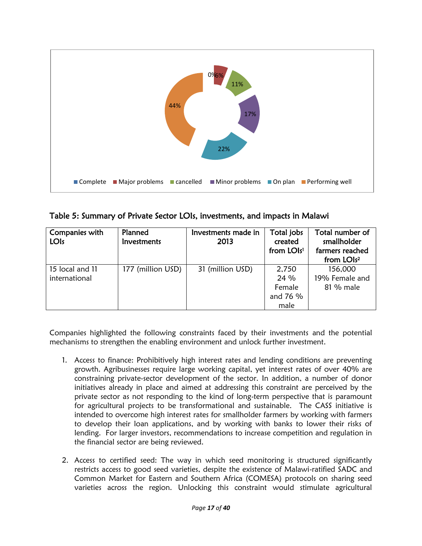

<span id="page-16-0"></span>Table 5: Summary of Private Sector LOIs, investments, and impacts in Malawi

| Companies with<br><b>LOIs</b> | Planned<br><b>Investments</b> | Investments made in<br>2013 | Total jobs<br>created<br>from LOIs <sup>1</sup> | Total number of<br>smallholder<br>farmers reached<br>from LOIs <sup>2</sup> |
|-------------------------------|-------------------------------|-----------------------------|-------------------------------------------------|-----------------------------------------------------------------------------|
| 15 local and 11               | 177 (million USD)             | 31 (million USD)            | 2,750                                           | 156,000                                                                     |
| international                 |                               |                             | 24 %                                            | 19% Female and                                                              |
|                               |                               |                             | Female                                          | 81 % male                                                                   |
|                               |                               |                             | and 76 %                                        |                                                                             |
|                               |                               |                             | male                                            |                                                                             |

Companies highlighted the following constraints faced by their investments and the potential mechanisms to strengthen the enabling environment and unlock further investment.

- 1. Access to finance: Prohibitively high interest rates and lending conditions are preventing growth. Agribusinesses require large working capital, yet interest rates of over 40% are constraining private-sector development of the sector. In addition, a number of donor initiatives already in place and aimed at addressing this constraint are perceived by the private sector as not responding to the kind of long-term perspective that is paramount for agricultural projects to be transformational and sustainable. The CASS initiative is intended to overcome high interest rates for smallholder farmers by working with farmers to develop their loan applications, and by working with banks to lower their risks of lending. For larger investors, recommendations to increase competition and regulation in the financial sector are being reviewed.
- 2. Access to certified seed: The way in which seed monitoring is structured significantly restricts access to good seed varieties, despite the existence of Malawi-ratified SADC and Common Market for Eastern and Southern Africa (COMESA) protocols on sharing seed varieties across the region. Unlocking this constraint would stimulate agricultural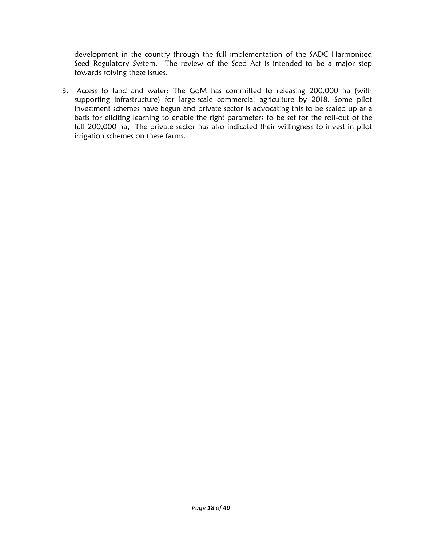development in the country through the full implementation of the SADC Harmonised Seed Regulatory System. The review of the Seed Act is intended to be a major step towards solving these issues.

3. Access to land and water: The GoM has committed to releasing 200,000 ha (with supporting infrastructure) for large-scale commercial agriculture by 2018. Some pilot investment schemes have begun and private sector is advocating this to be scaled up as a basis for eliciting learning to enable the right parameters to be set for the roll-out of the full 200,000 ha, The private sector has also indicated their willingness to invest in pilot irrigation schemes on these farms.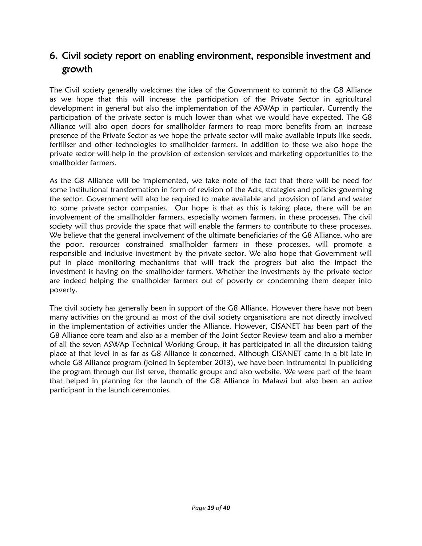## <span id="page-18-0"></span>6. Civil society report on enabling environment, responsible investment and growth

The Civil society generally welcomes the idea of the Government to commit to the G8 Alliance as we hope that this will increase the participation of the Private Sector in agricultural development in general but also the implementation of the ASWAp in particular. Currently the participation of the private sector is much lower than what we would have expected. The G8 Alliance will also open doors for smallholder farmers to reap more benefits from an increase presence of the Private Sector as we hope the private sector will make available inputs like seeds, fertiliser and other technologies to smallholder farmers. In addition to these we also hope the private sector will help in the provision of extension services and marketing opportunities to the smallholder farmers.

As the G8 Alliance will be implemented, we take note of the fact that there will be need for some institutional transformation in form of revision of the Acts, strategies and policies governing the sector. Government will also be required to make available and provision of land and water to some private sector companies. Our hope is that as this is taking place, there will be an involvement of the smallholder farmers, especially women farmers, in these processes. The civil society will thus provide the space that will enable the farmers to contribute to these processes. We believe that the general involvement of the ultimate beneficiaries of the G8 Alliance, who are the poor, resources constrained smallholder farmers in these processes, will promote a responsible and inclusive investment by the private sector. We also hope that Government will put in place monitoring mechanisms that will track the progress but also the impact the investment is having on the smallholder farmers. Whether the investments by the private sector are indeed helping the smallholder farmers out of poverty or condemning them deeper into poverty.

The civil society has generally been in support of the G8 Alliance. However there have not been many activities on the ground as most of the civil society organisations are not directly involved in the implementation of activities under the Alliance. However, CISANET has been part of the G8 Alliance core team and also as a member of the Joint Sector Review team and also a member of all the seven ASWAp Technical Working Group, it has participated in all the discussion taking place at that level in as far as G8 Alliance is concerned. Although CISANET came in a bit late in whole G8 Alliance program (joined in September 2013), we have been instrumental in publicising the program through our list serve, thematic groups and also website. We were part of the team that helped in planning for the launch of the G8 Alliance in Malawi but also been an active participant in the launch ceremonies.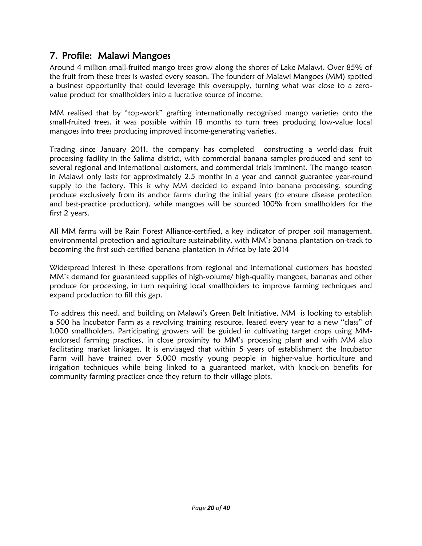## <span id="page-19-0"></span>7. Profile: Malawi Mangoes

Around 4 million small-fruited mango trees grow along the shores of Lake Malawi. Over 85% of the fruit from these trees is wasted every season. The founders of Malawi Mangoes (MM) spotted a business opportunity that could leverage this oversupply, turning what was close to a zerovalue product for smallholders into a lucrative source of income.

MM realised that by "top-work" grafting internationally recognised mango varieties onto the small-fruited trees, it was possible within 18 months to turn trees producing low-value local mangoes into trees producing improved income-generating varieties.

Trading since January 2011, the company has completed constructing a world-class fruit processing facility in the Salima district, with commercial banana samples produced and sent to several regional and international customers, and commercial trials imminent. The mango season in Malawi only lasts for approximately 2.5 months in a year and cannot guarantee year-round supply to the factory. This is why MM decided to expand into banana processing, sourcing produce exclusively from its anchor farms during the initial years (to ensure disease protection and best-practice production), while mangoes will be sourced 100% from smallholders for the first 2 years.

All MM farms will be Rain Forest Alliance-certified, a key indicator of proper soil management, environmental protection and agriculture sustainability, with MM's banana plantation on-track to becoming the first such certified banana plantation in Africa by late-2014

Widespread interest in these operations from regional and international customers has boosted MM's demand for guaranteed supplies of high-volume/ high-quality mangoes, bananas and other produce for processing, in turn requiring local smallholders to improve farming techniques and expand production to fill this gap.

To address this need, and building on Malawi's Green Belt Initiative, MM is looking to establish a 500 ha Incubator Farm as a revolving training resource, leased every year to a new "class" of 1,000 smallholders. Participating growers will be guided in cultivating target crops using MMendorsed farming practices, in close proximity to MM's processing plant and with MM also facilitating market linkages. It is envisaged that within 5 years of establishment the Incubator Farm will have trained over 5,000 mostly young people in higher-value horticulture and irrigation techniques while being linked to a guaranteed market, with knock-on benefits for community farming practices once they return to their village plots.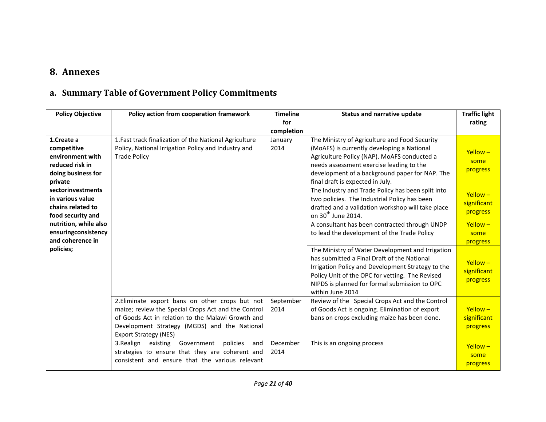## **8. Annexes**

## **a. Summary Table of Government Policy Commitments**

<span id="page-20-1"></span><span id="page-20-0"></span>

| <b>Policy Objective</b>                                                                           | Policy action from cooperation framework                                                                                                                                                                                                    | <b>Timeline</b><br>for<br>completion | <b>Status and narrative update</b>                                                                                                                                                                                                                                           | <b>Traffic light</b><br>rating           |
|---------------------------------------------------------------------------------------------------|---------------------------------------------------------------------------------------------------------------------------------------------------------------------------------------------------------------------------------------------|--------------------------------------|------------------------------------------------------------------------------------------------------------------------------------------------------------------------------------------------------------------------------------------------------------------------------|------------------------------------------|
| 1.Create a<br>competitive<br>environment with<br>reduced risk in<br>doing business for<br>private | 1. Fast track finalization of the National Agriculture<br>Policy, National Irrigation Policy and Industry and<br><b>Trade Policy</b>                                                                                                        | January<br>2014                      | The Ministry of Agriculture and Food Security<br>(MoAFS) is currently developing a National<br>Agriculture Policy (NAP). MoAFS conducted a<br>needs assessment exercise leading to the<br>development of a background paper for NAP. The<br>final draft is expected in July. | $Y$ ellow –<br>some<br>progress          |
| sectorinvestments<br>in various value<br>chains related to<br>food security and                   |                                                                                                                                                                                                                                             |                                      | The Industry and Trade Policy has been split into<br>two policies. The Industrial Policy has been<br>drafted and a validation workshop will take place<br>on 30 <sup>th</sup> June 2014.                                                                                     | $Y$ ellow $-$<br>significant<br>progress |
| nutrition, while also<br>ensuringconsistency<br>and coherence in                                  |                                                                                                                                                                                                                                             |                                      | A consultant has been contracted through UNDP<br>to lead the development of the Trade Policy                                                                                                                                                                                 | Yellow-<br>some<br>progress              |
| policies;                                                                                         |                                                                                                                                                                                                                                             |                                      | The Ministry of Water Development and Irrigation<br>has submitted a Final Draft of the National<br>Irrigation Policy and Development Strategy to the<br>Policy Unit of the OPC for vetting. The Revised<br>NIPDS is planned for formal submission to OPC<br>within June 2014 | $Y$ ellow $-$<br>significant<br>progress |
|                                                                                                   | 2. Eliminate export bans on other crops but not<br>maize; review the Special Crops Act and the Control<br>of Goods Act in relation to the Malawi Growth and<br>Development Strategy (MGDS) and the National<br><b>Export Strategy (NES)</b> | September<br>2014                    | Review of the Special Crops Act and the Control<br>of Goods Act is ongoing. Elimination of export<br>bans on crops excluding maize has been done.                                                                                                                            | $Y$ ellow $-$<br>significant<br>progress |
|                                                                                                   | 3. Realign existing<br>Government<br>policies<br>and<br>strategies to ensure that they are coherent and<br>consistent and ensure that the various relevant                                                                                  | December<br>2014                     | This is an ongoing process                                                                                                                                                                                                                                                   | $Y$ ellow –<br>some<br>progress          |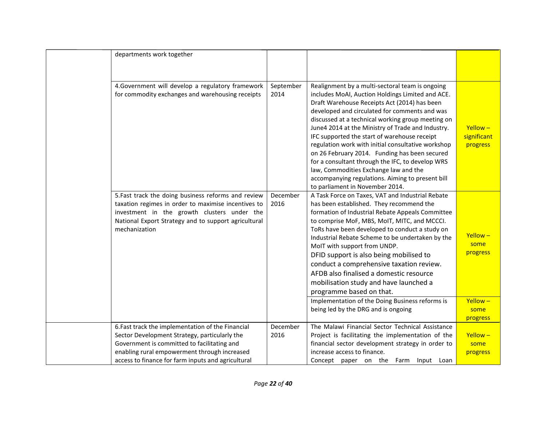| departments work together                            |           |                                                    |               |
|------------------------------------------------------|-----------|----------------------------------------------------|---------------|
|                                                      |           |                                                    |               |
|                                                      |           |                                                    |               |
| 4. Government will develop a regulatory framework    | September | Realignment by a multi-sectoral team is ongoing    |               |
| for commodity exchanges and warehousing receipts     | 2014      | includes MoAI, Auction Holdings Limited and ACE.   |               |
|                                                      |           | Draft Warehouse Receipts Act (2014) has been       |               |
|                                                      |           | developed and circulated for comments and was      |               |
|                                                      |           | discussed at a technical working group meeting on  |               |
|                                                      |           | June4 2014 at the Ministry of Trade and Industry.  | $Y$ ellow $-$ |
|                                                      |           | IFC supported the start of warehouse receipt       | significant   |
|                                                      |           | regulation work with initial consultative workshop | progress      |
|                                                      |           | on 26 February 2014. Funding has been secured      |               |
|                                                      |           | for a consultant through the IFC, to develop WRS   |               |
|                                                      |           | law, Commodities Exchange law and the              |               |
|                                                      |           | accompanying regulations. Aiming to present bill   |               |
|                                                      |           | to parliament in November 2014.                    |               |
| 5. Fast track the doing business reforms and review  | December  | A Task Force on Taxes, VAT and Industrial Rebate   |               |
| taxation regimes in order to maximise incentives to  | 2016      | has been established. They recommend the           |               |
| investment in the growth clusters under the          |           | formation of Industrial Rebate Appeals Committee   |               |
| National Export Strategy and to support agricultural |           | to comprise MoF, MBS, MoIT, MITC, and MCCCI.       |               |
| mechanization                                        |           | ToRs have been developed to conduct a study on     |               |
|                                                      |           | Industrial Rebate Scheme to be undertaken by the   | $Y$ ellow $-$ |
|                                                      |           | MoIT with support from UNDP.                       | some          |
|                                                      |           | DFID support is also being mobilised to            | progress      |
|                                                      |           | conduct a comprehensive taxation review.           |               |
|                                                      |           | AFDB also finalised a domestic resource            |               |
|                                                      |           | mobilisation study and have launched a             |               |
|                                                      |           | programme based on that.                           |               |
|                                                      |           | Implementation of the Doing Business reforms is    | Yellow-       |
|                                                      |           | being led by the DRG and is ongoing                | some          |
|                                                      |           |                                                    | progress      |
| 6. Fast track the implementation of the Financial    | December  | The Malawi Financial Sector Technical Assistance   |               |
| Sector Development Strategy, particularly the        | 2016      | Project is facilitating the implementation of the  | $Y$ ellow $-$ |
| Government is committed to facilitating and          |           | financial sector development strategy in order to  | some          |
| enabling rural empowerment through increased         |           | increase access to finance.                        | progress      |
| access to finance for farm inputs and agricultural   |           | Concept paper on the Farm Input Loan               |               |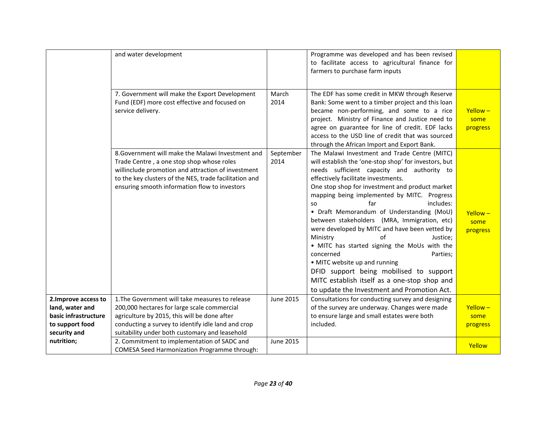|                                                                                                    | and water development                                                                                                                                                                                                                                           |                   | Programme was developed and has been revised<br>to facilitate access to agricultural finance for<br>farmers to purchase farm inputs                                                                                                                                                                                                                                                                                                                                                                                                                                                                                                                                                                                                                       |                                   |
|----------------------------------------------------------------------------------------------------|-----------------------------------------------------------------------------------------------------------------------------------------------------------------------------------------------------------------------------------------------------------------|-------------------|-----------------------------------------------------------------------------------------------------------------------------------------------------------------------------------------------------------------------------------------------------------------------------------------------------------------------------------------------------------------------------------------------------------------------------------------------------------------------------------------------------------------------------------------------------------------------------------------------------------------------------------------------------------------------------------------------------------------------------------------------------------|-----------------------------------|
|                                                                                                    | 7. Government will make the Export Development<br>Fund (EDF) more cost effective and focused on<br>service delivery.                                                                                                                                            | March<br>2014     | The EDF has some credit in MKW through Reserve<br>Bank: Some went to a timber project and this loan<br>became non-performing, and some to a rice<br>project. Ministry of Finance and Justice need to<br>agree on guarantee for line of credit. EDF lacks<br>access to the USD line of credit that was sourced<br>through the African Import and Export Bank.                                                                                                                                                                                                                                                                                                                                                                                              | $Y$ ellow $-$<br>some<br>progress |
|                                                                                                    | 8. Government will make the Malawi Investment and<br>Trade Centre, a one stop shop whose roles<br>willinclude promotion and attraction of investment<br>to the key clusters of the NES, trade facilitation and<br>ensuring smooth information flow to investors | September<br>2014 | The Malawi Investment and Trade Centre (MITC)<br>will establish the 'one-stop shop' for investors, but<br>needs sufficient capacity and authority to<br>effectively facilitate investments.<br>One stop shop for investment and product market<br>mapping being implemented by MITC. Progress<br>includes:<br>far<br>SO.<br>• Draft Memorandum of Understanding (MoU)<br>between stakeholders (MRA, Immigration, etc)<br>were developed by MITC and have been vetted by<br>οf<br>Ministry<br>Justice:<br>• MITC has started signing the MoUs with the<br>concerned<br>Parties;<br>• MITC website up and running<br>DFID support being mobilised to support<br>MITC establish itself as a one-stop shop and<br>to update the Investment and Promotion Act. | $Y$ ellow –<br>some<br>progress   |
| 2. Improve access to<br>land, water and<br>basic infrastructure<br>to support food<br>security and | 1. The Government will take measures to release<br>200,000 hectares for large scale commercial<br>agriculture by 2015, this will be done after<br>conducting a survey to identify idle land and crop<br>suitability under both customary and leasehold          | <b>June 2015</b>  | Consultations for conducting survey and designing<br>of the survey are underway. Changes were made<br>to ensure large and small estates were both<br>included.                                                                                                                                                                                                                                                                                                                                                                                                                                                                                                                                                                                            | $Yellow -$<br>some<br>progress    |
| nutrition;                                                                                         | 2. Commitment to implementation of SADC and<br><b>COMESA Seed Harmonization Programme through:</b>                                                                                                                                                              | June 2015         |                                                                                                                                                                                                                                                                                                                                                                                                                                                                                                                                                                                                                                                                                                                                                           | Yellow                            |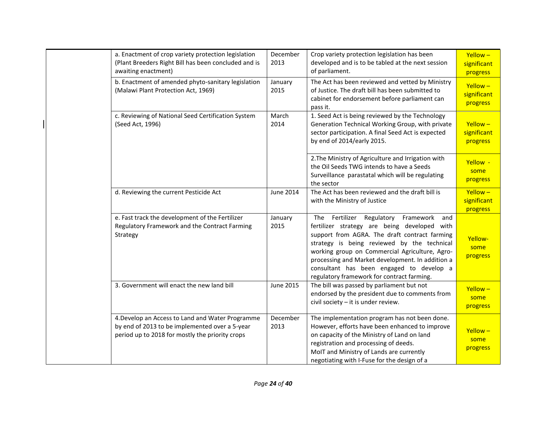| a. Enactment of crop variety protection legislation<br>(Plant Breeders Right Bill has been concluded and is<br>awaiting enactment)                    | December<br>2013 | Crop variety protection legislation has been<br>developed and is to be tabled at the next session<br>of parliament.                                                                                                                                                                                                                                                                        | $Y$ ellow $-$<br>significant<br>progress |
|-------------------------------------------------------------------------------------------------------------------------------------------------------|------------------|--------------------------------------------------------------------------------------------------------------------------------------------------------------------------------------------------------------------------------------------------------------------------------------------------------------------------------------------------------------------------------------------|------------------------------------------|
| b. Enactment of amended phyto-sanitary legislation<br>(Malawi Plant Protection Act, 1969)                                                             | January<br>2015  | The Act has been reviewed and vetted by Ministry<br>of Justice. The draft bill has been submitted to<br>cabinet for endorsement before parliament can<br>pass it.                                                                                                                                                                                                                          | $Yellow -$<br>significant<br>progress    |
| c. Reviewing of National Seed Certification System<br>(Seed Act, 1996)                                                                                | March<br>2014    | 1. Seed Act is being reviewed by the Technology<br>Generation Technical Working Group, with private<br>sector participation. A final Seed Act is expected<br>by end of 2014/early 2015.                                                                                                                                                                                                    | $Y$ ellow $-$<br>significant<br>progress |
|                                                                                                                                                       |                  | 2. The Ministry of Agriculture and Irrigation with<br>the Oil Seeds TWG intends to have a Seeds<br>Surveillance parastatal which will be regulating<br>the sector                                                                                                                                                                                                                          | Yellow -<br>some<br>progress             |
| d. Reviewing the current Pesticide Act                                                                                                                | June 2014        | The Act has been reviewed and the draft bill is<br>with the Ministry of Justice                                                                                                                                                                                                                                                                                                            | Yellow-<br>significant<br>progress       |
| e. Fast track the development of the Fertilizer<br>Regulatory Framework and the Contract Farming<br>Strategy                                          | January<br>2015  | The Fertilizer Regulatory<br>Framework and<br>fertilizer strategy are being developed with<br>support from AGRA. The draft contract farming<br>strategy is being reviewed by the technical<br>working group on Commercial Agriculture, Agro-<br>processing and Market development. In addition a<br>consultant has been engaged to develop a<br>regulatory framework for contract farming. | Yellow-<br>some<br>progress              |
| 3. Government will enact the new land bill                                                                                                            | <b>June 2015</b> | The bill was passed by parliament but not<br>endorsed by the president due to comments from<br>civil society - it is under review.                                                                                                                                                                                                                                                         | Yellow-<br>some<br>progress              |
| 4. Develop an Access to Land and Water Programme<br>by end of 2013 to be implemented over a 5-year<br>period up to 2018 for mostly the priority crops | December<br>2013 | The implementation program has not been done.<br>However, efforts have been enhanced to improve<br>on capacity of the Ministry of Land on land<br>registration and processing of deeds.<br>MoIT and Ministry of Lands are currently<br>negotiating with I-Fuse for the design of a                                                                                                         | Yellow-<br>some<br>progress              |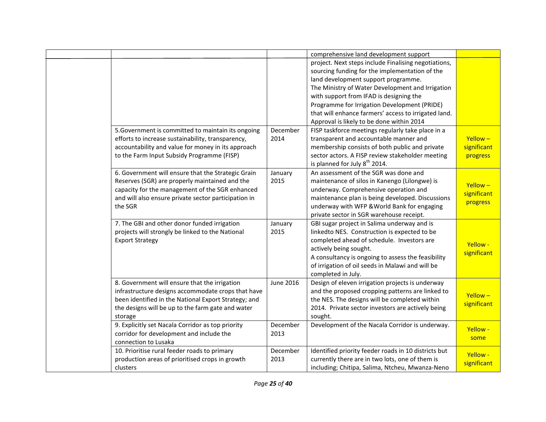|                                                      |                  | comprehensive land development support               |               |
|------------------------------------------------------|------------------|------------------------------------------------------|---------------|
|                                                      |                  | project. Next steps include Finalising negotiations, |               |
|                                                      |                  | sourcing funding for the implementation of the       |               |
|                                                      |                  | land development support programme.                  |               |
|                                                      |                  | The Ministry of Water Development and Irrigation     |               |
|                                                      |                  | with support from IFAD is designing the              |               |
|                                                      |                  | Programme for Irrigation Development (PRIDE)         |               |
|                                                      |                  | that will enhance farmers' access to irrigated land. |               |
|                                                      |                  | Approval is likely to be done within 2014            |               |
| 5. Government is committed to maintain its ongoing   | December         | FISP taskforce meetings regularly take place in a    |               |
| efforts to increase sustainability, transparency,    | 2014             | transparent and accountable manner and               | $Y$ ellow $-$ |
| accountability and value for money in its approach   |                  | membership consists of both public and private       | significant   |
| to the Farm Input Subsidy Programme (FISP)           |                  | sector actors. A FISP review stakeholder meeting     | progress      |
|                                                      |                  | is planned for July $8^{th}$ 2014.                   |               |
| 6. Government will ensure that the Strategic Grain   | January          | An assessment of the SGR was done and                |               |
| Reserves (SGR) are properly maintained and the       | 2015             | maintenance of silos in Kanengo (Lilongwe) is        |               |
| capacity for the management of the SGR enhanced      |                  | underway. Comprehensive operation and                | $Y$ ellow $-$ |
| and will also ensure private sector participation in |                  | maintenance plan is being developed. Discussions     | significant   |
| the SGR                                              |                  | underway with WFP & World Bank for engaging          | progress      |
|                                                      |                  | private sector in SGR warehouse receipt.             |               |
| 7. The GBI and other donor funded irrigation         | January          | GBI sugar project in Salima underway and is          |               |
| projects will strongly be linked to the National     | 2015             | linkedto NES. Construction is expected to be         |               |
| <b>Export Strategy</b>                               |                  | completed ahead of schedule. Investors are           |               |
|                                                      |                  | actively being sought.                               | Yellow -      |
|                                                      |                  | A consultancy is ongoing to assess the feasibility   | significant   |
|                                                      |                  | of irrigation of oil seeds in Malawi and will be     |               |
|                                                      |                  | completed in July.                                   |               |
| 8. Government will ensure that the irrigation        | <b>June 2016</b> | Design of eleven irrigation projects is underway     |               |
| infrastructure designs accommodate crops that have   |                  | and the proposed cropping patterns are linked to     |               |
| been identified in the National Export Strategy; and |                  | the NES. The designs will be completed within        | $Y$ ellow $-$ |
| the designs will be up to the farm gate and water    |                  | 2014. Private sector investors are actively being    | significant   |
| storage                                              |                  | sought.                                              |               |
| 9. Explicitly set Nacala Corridor as top priority    | December         | Development of the Nacala Corridor is underway.      |               |
| corridor for development and include the             | 2013             |                                                      | Yellow -      |
| connection to Lusaka                                 |                  |                                                      | some          |
| 10. Prioritise rural feeder roads to primary         | December         | Identified priority feeder roads in 10 districts but |               |
| production areas of prioritised crops in growth      | 2013             | currently there are in two lots, one of them is      | Yellow -      |
| clusters                                             |                  | including; Chitipa, Salima, Ntcheu, Mwanza-Neno      | significant   |
|                                                      |                  |                                                      |               |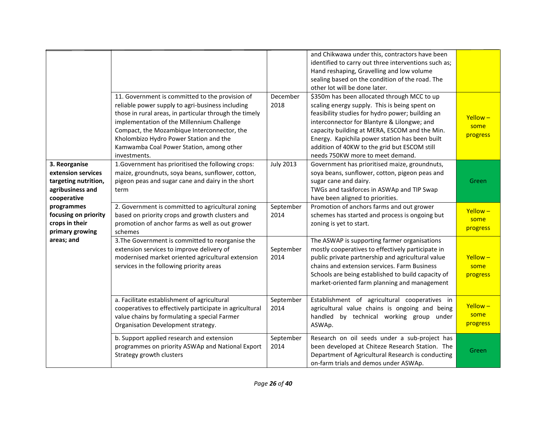|                                                                                                | 11. Government is committed to the provision of<br>reliable power supply to agri-business including<br>those in rural areas, in particular through the timely                                   | December<br>2018  | and Chikwawa under this, contractors have been<br>identified to carry out three interventions such as;<br>Hand reshaping, Gravelling and low volume<br>sealing based on the condition of the road. The<br>other lot will be done later.<br>\$350m has been allocated through MCC to up<br>scaling energy supply. This is being spent on<br>feasibility studies for hydro power; building an |                                   |
|------------------------------------------------------------------------------------------------|-------------------------------------------------------------------------------------------------------------------------------------------------------------------------------------------------|-------------------|---------------------------------------------------------------------------------------------------------------------------------------------------------------------------------------------------------------------------------------------------------------------------------------------------------------------------------------------------------------------------------------------|-----------------------------------|
|                                                                                                | implementation of the Millennium Challenge<br>Compact, the Mozambique Interconnector, the<br>Kholombizo Hydro Power Station and the<br>Kamwamba Coal Power Station, among other<br>investments. |                   | interconnector for Blantyre & Lilongwe; and<br>capacity building at MERA, ESCOM and the Min.<br>Energy. Kapichila power station has been built<br>addition of 40KW to the grid but ESCOM still<br>needs 750KW more to meet demand.                                                                                                                                                          | $Y$ ellow $-$<br>some<br>progress |
| 3. Reorganise<br>extension services<br>targeting nutrition,<br>agribusiness and<br>cooperative | 1. Government has prioritised the following crops:<br>maize, groundnuts, soya beans, sunflower, cotton,<br>pigeon peas and sugar cane and dairy in the short<br>term                            | <b>July 2013</b>  | Government has prioritised maize, groundnuts,<br>soya beans, sunflower, cotton, pigeon peas and<br>sugar cane and dairy.<br>TWGs and taskforces in ASWAp and TIP Swap<br>have been aligned to priorities.                                                                                                                                                                                   | Green                             |
| programmes<br>focusing on priority<br>crops in their<br>primary growing                        | 2. Government is committed to agricultural zoning<br>based on priority crops and growth clusters and<br>promotion of anchor farms as well as out grower<br>schemes                              | September<br>2014 | Promotion of anchors farms and out grower<br>schemes has started and process is ongoing but<br>zoning is yet to start.                                                                                                                                                                                                                                                                      | Yellow-<br>some<br>progress       |
| areas; and                                                                                     | 3. The Government is committed to reorganise the<br>extension services to improve delivery of<br>modernised market oriented agricultural extension<br>services in the following priority areas  | September<br>2014 | The ASWAP is supporting farmer organisations<br>mostly cooperatives to effectively participate in<br>public private partnership and agricultural value<br>chains and extension services. Farm Business<br>Schools are being established to build capacity of<br>market-oriented farm planning and management                                                                                | Yellow-<br>some<br>progress       |
|                                                                                                | a. Facilitate establishment of agricultural<br>cooperatives to effectively participate in agricultural<br>value chains by formulating a special Farmer<br>Organisation Development strategy.    | September<br>2014 | Establishment of agricultural cooperatives in<br>agricultural value chains is ongoing and being<br>handled by technical working group under<br>ASWAp.                                                                                                                                                                                                                                       | Yellow-<br>some<br>progress       |
|                                                                                                | b. Support applied research and extension<br>programmes on priority ASWAp and National Export<br>Strategy growth clusters                                                                       | September<br>2014 | Research on oil seeds under a sub-project has<br>been developed at Chiteze Research Station. The<br>Department of Agricultural Research is conducting<br>on-farm trials and demos under ASWAp.                                                                                                                                                                                              | Green                             |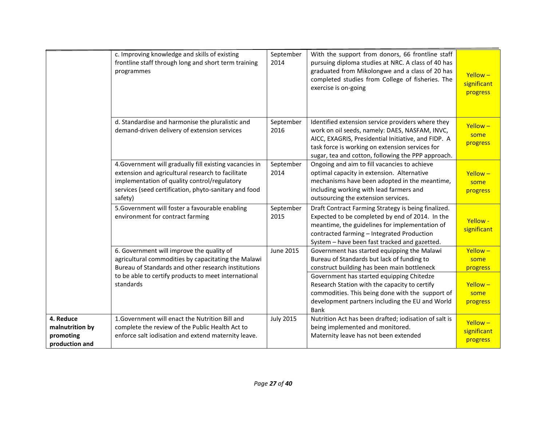|                                                             | c. Improving knowledge and skills of existing<br>frontline staff through long and short term training<br>programmes                                                                                                              | September<br>2014 | With the support from donors, 66 frontline staff<br>pursuing diploma studies at NRC. A class of 40 has<br>graduated from Mikolongwe and a class of 20 has<br>completed studies from College of fisheries. The<br>exercise is on-going                               | $Yellow -$<br>significant<br>progress    |
|-------------------------------------------------------------|----------------------------------------------------------------------------------------------------------------------------------------------------------------------------------------------------------------------------------|-------------------|---------------------------------------------------------------------------------------------------------------------------------------------------------------------------------------------------------------------------------------------------------------------|------------------------------------------|
|                                                             | d. Standardise and harmonise the pluralistic and<br>demand-driven delivery of extension services                                                                                                                                 | September<br>2016 | Identified extension service providers where they<br>work on oil seeds, namely: DAES, NASFAM, INVC,<br>AICC, EXAGRIS, Presidential Initiative, and FIDP. A<br>task force is working on extension services for<br>sugar, tea and cotton, following the PPP approach. | $Y$ ellow $-$<br>some<br>progress        |
|                                                             | 4. Government will gradually fill existing vacancies in<br>extension and agricultural research to facilitate<br>implementation of quality control/regulatory<br>services (seed certification, phyto-sanitary and food<br>safety) | September<br>2014 | Ongoing and aim to fill vacancies to achieve<br>optimal capacity in extension. Alternative<br>mechanisms have been adopted in the meantime,<br>including working with lead farmers and<br>outsourcing the extension services.                                       | $Y$ ellow $-$<br>some<br>progress        |
|                                                             | 5. Government will foster a favourable enabling<br>environment for contract farming                                                                                                                                              | September<br>2015 | Draft Contract Farming Strategy is being finalized.<br>Expected to be completed by end of 2014. In the<br>meantime, the guidelines for implementation of<br>contracted farming - Integrated Production<br>System - have been fast tracked and gazetted.             | Yellow -<br>significant                  |
|                                                             | 6. Government will improve the quality of<br>agricultural commodities by capacitating the Malawi<br>Bureau of Standards and other research institutions                                                                          | <b>June 2015</b>  | Government has started equipping the Malawi<br>Bureau of Standards but lack of funding to<br>construct building has been main bottleneck                                                                                                                            | Yellow-<br>some<br>progress              |
|                                                             | to be able to certify products to meet international<br>standards                                                                                                                                                                |                   | Government has started equipping Chitedze<br>Research Station with the capacity to certify<br>commodities. This being done with the support of<br>development partners including the EU and World<br>Bank                                                           | $Y$ ellow $-$<br>some<br>progress        |
| 4. Reduce<br>malnutrition by<br>promoting<br>production and | 1. Government will enact the Nutrition Bill and<br>complete the review of the Public Health Act to<br>enforce salt iodisation and extend maternity leave.                                                                        | <b>July 2015</b>  | Nutrition Act has been drafted; iodisation of salt is<br>being implemented and monitored.<br>Maternity leave has not been extended                                                                                                                                  | $Y$ ellow $-$<br>significant<br>progress |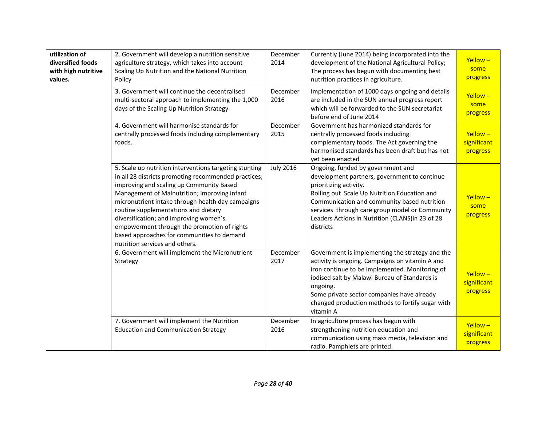| utilization of<br>diversified foods<br>with high nutritive<br>values. | 2. Government will develop a nutrition sensitive<br>agriculture strategy, which takes into account<br>Scaling Up Nutrition and the National Nutrition<br>Policy<br>3. Government will continue the decentralised<br>multi-sectoral approach to implementing the 1,000<br>days of the Scaling Up Nutrition Strategy                                                                                                                                                               | December<br>2014<br>December<br>2016 | Currently (June 2014) being incorporated into the<br>development of the National Agricultural Policy;<br>The process has begun with documenting best<br>nutrition practices in agriculture.<br>Implementation of 1000 days ongoing and details<br>are included in the SUN annual progress report<br>which will be forwarded to the SUN secretariat<br>before end of June 2014 | $Y$ ellow $-$<br>some<br>progress<br>$Y$ ellow $-$<br>some<br>progress |
|-----------------------------------------------------------------------|----------------------------------------------------------------------------------------------------------------------------------------------------------------------------------------------------------------------------------------------------------------------------------------------------------------------------------------------------------------------------------------------------------------------------------------------------------------------------------|--------------------------------------|-------------------------------------------------------------------------------------------------------------------------------------------------------------------------------------------------------------------------------------------------------------------------------------------------------------------------------------------------------------------------------|------------------------------------------------------------------------|
|                                                                       | 4. Government will harmonise standards for<br>centrally processed foods including complementary<br>foods.                                                                                                                                                                                                                                                                                                                                                                        | December<br>2015                     | Government has harmonized standards for<br>centrally processed foods including<br>complementary foods. The Act governing the<br>harmonised standards has been draft but has not<br>yet been enacted                                                                                                                                                                           | $Y$ ellow $-$<br>significant<br>progress                               |
|                                                                       | 5. Scale up nutrition interventions targeting stunting<br>in all 28 districts promoting recommended practices;<br>improving and scaling up Community Based<br>Management of Malnutrition; improving infant<br>micronutrient intake through health day campaigns<br>routine supplementations and dietary<br>diversification; and improving women's<br>empowerment through the promotion of rights<br>based approaches for communities to demand<br>nutrition services and others. | <b>July 2016</b>                     | Ongoing, funded by government and<br>development partners, government to continue<br>prioritizing activity.<br>Rolling out Scale Up Nutrition Education and<br>Communication and community based nutrition<br>services through care group model or Community<br>Leaders Actions in Nutrition (CLANS) in 23 of 28<br>districts                                                 | $Y$ ellow $-$<br>some<br>progress                                      |
|                                                                       | 6. Government will implement the Micronutrient<br>Strategy                                                                                                                                                                                                                                                                                                                                                                                                                       | December<br>2017                     | Government is implementing the strategy and the<br>activity is ongoing. Campaigns on vitamin A and<br>iron continue to be implemented. Monitoring of<br>iodised salt by Malawi Bureau of Standards is<br>ongoing.<br>Some private sector companies have already<br>changed production methods to fortify sugar with<br>vitamin A                                              | $Y$ ellow $-$<br>significant<br>progress                               |
|                                                                       | 7. Government will implement the Nutrition<br><b>Education and Communication Strategy</b>                                                                                                                                                                                                                                                                                                                                                                                        | December<br>2016                     | In agriculture process has begun with<br>strengthening nutrition education and<br>communication using mass media, television and<br>radio. Pamphlets are printed.                                                                                                                                                                                                             | $Y$ ellow $-$<br>significant<br>progress                               |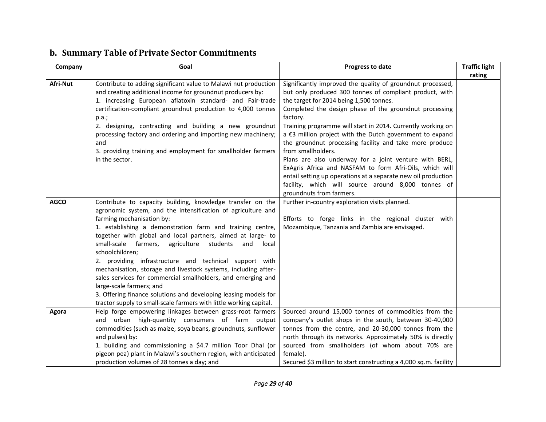<span id="page-28-0"></span>

| Company     | Goal                                                                                                                                                                                                                                                                                                                                                                                                                                                                                                                                                                                                                                                                                                                                          | Progress to date                                                                                                                                                                                                                                                                                                                                                                                                                                                                                                                                                                                                                                                                                                           | <b>Traffic light</b> |
|-------------|-----------------------------------------------------------------------------------------------------------------------------------------------------------------------------------------------------------------------------------------------------------------------------------------------------------------------------------------------------------------------------------------------------------------------------------------------------------------------------------------------------------------------------------------------------------------------------------------------------------------------------------------------------------------------------------------------------------------------------------------------|----------------------------------------------------------------------------------------------------------------------------------------------------------------------------------------------------------------------------------------------------------------------------------------------------------------------------------------------------------------------------------------------------------------------------------------------------------------------------------------------------------------------------------------------------------------------------------------------------------------------------------------------------------------------------------------------------------------------------|----------------------|
| Afri-Nut    | Contribute to adding significant value to Malawi nut production<br>and creating additional income for groundnut producers by:<br>1. increasing European aflatoxin standard- and Fair-trade<br>certification-compliant groundnut production to 4,000 tonnes<br>p.a.;<br>2. designing, contracting and building a new groundnut<br>processing factory and ordering and importing new machinery;<br>and<br>3. providing training and employment for smallholder farmers<br>in the sector.                                                                                                                                                                                                                                                        | Significantly improved the quality of groundnut processed,<br>but only produced 300 tonnes of compliant product, with<br>the target for 2014 being 1,500 tonnes.<br>Completed the design phase of the groundnut processing<br>factory.<br>Training programme will start in 2014. Currently working on<br>a €3 million project with the Dutch government to expand<br>the groundnut processing facility and take more produce<br>from smallholders.<br>Plans are also underway for a joint venture with BERL,<br>ExAgris Africa and NASFAM to form Afri-Oils, which will<br>entail setting up operations at a separate new oil production<br>facility, which will source around 8,000 tonnes of<br>groundnuts from farmers. | rating               |
| <b>AGCO</b> | Contribute to capacity building, knowledge transfer on the<br>agronomic system, and the intensification of agriculture and<br>farming mechanisation by:<br>1. establishing a demonstration farm and training centre,<br>together with global and local partners, aimed at large- to<br>small-scale<br>farmers,<br>agriculture<br>students<br>and<br>local<br>schoolchildren;<br>2. providing infrastructure and technical support with<br>mechanisation, storage and livestock systems, including after-<br>sales services for commercial smallholders, and emerging and<br>large-scale farmers; and<br>3. Offering finance solutions and developing leasing models for<br>tractor supply to small-scale farmers with little working capital. | Further in-country exploration visits planned.<br>Efforts to forge links in the regional cluster with<br>Mozambique, Tanzania and Zambia are envisaged.                                                                                                                                                                                                                                                                                                                                                                                                                                                                                                                                                                    |                      |
| Agora       | Help forge empowering linkages between grass-root farmers<br>and urban high-quantity consumers of farm output<br>commodities (such as maize, soya beans, groundnuts, sunflower<br>and pulses) by:<br>1. building and commissioning a \$4.7 million Toor Dhal (or<br>pigeon pea) plant in Malawi's southern region, with anticipated<br>production volumes of 28 tonnes a day; and                                                                                                                                                                                                                                                                                                                                                             | Sourced around 15,000 tonnes of commodities from the<br>company's outlet shops in the south, between 30-40,000<br>tonnes from the centre, and 20-30,000 tonnes from the<br>north through its networks. Approximately 50% is directly<br>sourced from smallholders (of whom about 70% are<br>female).<br>Secured \$3 million to start constructing a 4,000 sq.m. facility                                                                                                                                                                                                                                                                                                                                                   |                      |

## **b. Summary Table of Private Sector Commitments**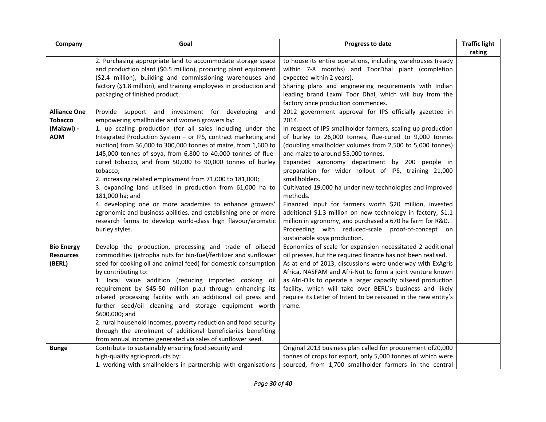| Company                                         | Goal                                                                                                                                                                                                                                                                                                                                                                                                                                                                                                                                                                                                                                                                                                                                               | Progress to date                                                                                                                                                                                                                                                                                                                                                                                                                                                                                                                                                                                                                                                                                                   | <b>Traffic light</b> |
|-------------------------------------------------|----------------------------------------------------------------------------------------------------------------------------------------------------------------------------------------------------------------------------------------------------------------------------------------------------------------------------------------------------------------------------------------------------------------------------------------------------------------------------------------------------------------------------------------------------------------------------------------------------------------------------------------------------------------------------------------------------------------------------------------------------|--------------------------------------------------------------------------------------------------------------------------------------------------------------------------------------------------------------------------------------------------------------------------------------------------------------------------------------------------------------------------------------------------------------------------------------------------------------------------------------------------------------------------------------------------------------------------------------------------------------------------------------------------------------------------------------------------------------------|----------------------|
|                                                 | 2. Purchasing appropriate land to accommodate storage space<br>and production plant (\$0.5 million), procuring plant equipment<br>(\$2.4 million), building and commissioning warehouses and<br>factory (\$1.8 million), and training employees in production and<br>packaging of finished product.                                                                                                                                                                                                                                                                                                                                                                                                                                                | to house its entire operations, including warehouses (ready<br>within 7-8 months) and ToorDhal plant (completion<br>expected within 2 years).<br>Sharing plans and engineering requirements with Indian<br>leading brand Laxmi Toor Dhal, which will buy from the                                                                                                                                                                                                                                                                                                                                                                                                                                                  | rating               |
| <b>Alliance One</b>                             | Provide support and investment for developing<br>and                                                                                                                                                                                                                                                                                                                                                                                                                                                                                                                                                                                                                                                                                               | factory once production commences.<br>2012 government approval for IPS officially gazetted in                                                                                                                                                                                                                                                                                                                                                                                                                                                                                                                                                                                                                      |                      |
| <b>Tobacco</b><br>(Malawi) -<br><b>AOM</b>      | empowering smallholder and women growers by:<br>1. up scaling production (for all sales including under the<br>Integrated Production System - or IPS, contract marketing and<br>auction) from 36,000 to 300,000 tonnes of maize, from 1,600 to<br>145,000 tonnes of soya, from 6,800 to 40,000 tonnes of flue-<br>cured tobacco, and from 50,000 to 90,000 tonnes of burley<br>tobacco;<br>2. increasing related employment from 71,000 to 181,000;<br>3. expanding land utilised in production from 61,000 ha to<br>181,000 ha; and<br>4. developing one or more academies to enhance growers'<br>agronomic and business abilities, and establishing one or more<br>research farms to develop world-class high flavour/aromatic<br>burley styles. | 2014.<br>In respect of IPS smallholder farmers, scaling up production<br>of burley to 26,000 tonnes, flue-cured to 9,000 tonnes<br>(doubling smallholder volumes from 2,500 to 5,000 tonnes)<br>and maize to around 55,000 tonnes.<br>Expanded agronomy department by 200 people in<br>preparation for wider rollout of IPS, training 21,000<br>smallholders.<br>Cultivated 19,000 ha under new technologies and improved<br>methods.<br>Financed input for farmers worth \$20 million, invested<br>additional \$1.3 million on new technology in factory, \$1.1<br>million in agronomy, and purchased a 670 ha farm for R&D.<br>Proceeding with reduced-scale proof-of-concept on<br>sustainable soya production. |                      |
| <b>Bio Energy</b><br><b>Resources</b><br>(BERL) | Develop the production, processing and trade of oilseed<br>commodities (jatropha nuts for bio-fuel/fertilizer and sunflower<br>seed for cooking oil and animal feed) for domestic consumption<br>by contributing to:<br>1. local value addition (reducing imported cooking oil<br>requirement by \$45-50 million p.a.) through enhancing its<br>oilseed processing facility with an additional oil press and<br>further seed/oil cleaning and storage equipment worth<br>\$600,000; and<br>2. rural household incomes, poverty reduction and food security<br>through the enrolment of additional beneficiaries benefiting<br>from annual incomes generated via sales of sunflower seed.                                                           | Economies of scale for expansion necessitated 2 additional<br>oil presses, but the required finance has not been realised.<br>As at end of 2013, discussions were underway with ExAgris<br>Africa, NASFAM and Afri-Nut to form a joint venture known<br>as Afri-Oils to operate a larger capacity oilseed production<br>facility, which will take over BERL's business and likely<br>require its Letter of Intent to be reissued in the new entity's<br>name.                                                                                                                                                                                                                                                      |                      |
| <b>Bunge</b>                                    | Contribute to sustainably ensuring food security and<br>high-quality agric-products by:<br>1. working with smallholders in partnership with organisations                                                                                                                                                                                                                                                                                                                                                                                                                                                                                                                                                                                          | Original 2013 business plan called for procurement of 20,000<br>tonnes of crops for export, only 5,000 tonnes of which were<br>sourced, from 1,700 smallholder farmers in the central                                                                                                                                                                                                                                                                                                                                                                                                                                                                                                                              |                      |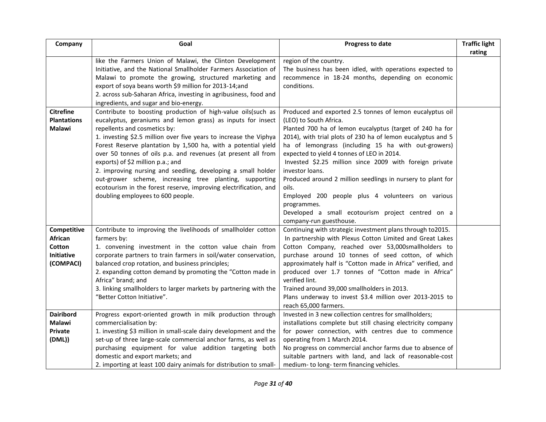| Company              | Goal                                                                                                                | Progress to date                                                                                                  | <b>Traffic light</b> |
|----------------------|---------------------------------------------------------------------------------------------------------------------|-------------------------------------------------------------------------------------------------------------------|----------------------|
|                      | like the Farmers Union of Malawi, the Clinton Development                                                           | region of the country.                                                                                            | rating               |
|                      | Initiative, and the National Smallholder Farmers Association of                                                     | The business has been idled, with operations expected to                                                          |                      |
|                      | Malawi to promote the growing, structured marketing and                                                             | recommence in 18-24 months, depending on economic                                                                 |                      |
|                      | export of soya beans worth \$9 million for 2013-14;and                                                              | conditions.                                                                                                       |                      |
|                      | 2. across sub-Saharan Africa, investing in agribusiness, food and                                                   |                                                                                                                   |                      |
|                      | ingredients, and sugar and bio-energy.                                                                              |                                                                                                                   |                      |
| <b>Citrefine</b>     | Contribute to boosting production of high-value oils(such as                                                        | Produced and exported 2.5 tonnes of lemon eucalyptus oil                                                          |                      |
| <b>Plantations</b>   | eucalyptus, geraniums and lemon grass) as inputs for insect                                                         | (LEO) to South Africa.                                                                                            |                      |
| <b>Malawi</b>        | repellents and cosmetics by:                                                                                        | Planted 700 ha of lemon eucalyptus (target of 240 ha for                                                          |                      |
|                      | 1. investing \$2.5 million over five years to increase the Viphya                                                   | 2014), with trial plots of 230 ha of lemon eucalyptus and 5                                                       |                      |
|                      | Forest Reserve plantation by 1,500 ha, with a potential yield                                                       | ha of lemongrass (including 15 ha with out-growers)                                                               |                      |
|                      | over 50 tonnes of oils p.a. and revenues (at present all from                                                       | expected to yield 4 tonnes of LEO in 2014.                                                                        |                      |
|                      | exports) of \$2 million p.a.; and                                                                                   | Invested \$2.25 million since 2009 with foreign private                                                           |                      |
|                      | 2. improving nursing and seedling, developing a small holder                                                        | investor loans.                                                                                                   |                      |
|                      | out-grower scheme, increasing tree planting, supporting                                                             | Produced around 2 million seedlings in nursery to plant for                                                       |                      |
|                      | ecotourism in the forest reserve, improving electrification, and                                                    | oils.                                                                                                             |                      |
|                      | doubling employees to 600 people.                                                                                   | Employed 200 people plus 4 volunteers on various                                                                  |                      |
|                      |                                                                                                                     | programmes.                                                                                                       |                      |
|                      |                                                                                                                     | Developed a small ecotourism project centred on a                                                                 |                      |
|                      |                                                                                                                     | company-run guesthouse.                                                                                           |                      |
| Competitive          | Contribute to improving the livelihoods of smallholder cotton                                                       | Continuing with strategic investment plans through to2015.                                                        |                      |
| African              | farmers by:                                                                                                         | In partnership with Plexus Cotton Limited and Great Lakes                                                         |                      |
| Cotton<br>Initiative | 1. convening investment in the cotton value chain from                                                              | Cotton Company, reached over 53,000smallholders to                                                                |                      |
| (COMPACI)            | corporate partners to train farmers in soil/water conservation,<br>balanced crop rotation, and business principles; | purchase around 10 tonnes of seed cotton, of which<br>approximately half is "Cotton made in Africa" verified, and |                      |
|                      | 2. expanding cotton demand by promoting the "Cotton made in                                                         | produced over 1.7 tonnes of "Cotton made in Africa"                                                               |                      |
|                      | Africa" brand; and                                                                                                  | verified lint.                                                                                                    |                      |
|                      | 3. linking smallholders to larger markets by partnering with the                                                    | Trained around 39,000 smallholders in 2013.                                                                       |                      |
|                      | "Better Cotton Initiative".                                                                                         | Plans underway to invest \$3.4 million over 2013-2015 to                                                          |                      |
|                      |                                                                                                                     | reach 65,000 farmers.                                                                                             |                      |
| <b>Dairibord</b>     | Progress export-oriented growth in milk production through                                                          | Invested in 3 new collection centres for smallholders;                                                            |                      |
| Malawi               | commercialisation by:                                                                                               | installations complete but still chasing electricity company                                                      |                      |
| Private              | 1. investing \$3 million in small-scale dairy development and the                                                   | for power connection, with centres due to commence                                                                |                      |
| (DML))               | set-up of three large-scale commercial anchor farms, as well as                                                     | operating from 1 March 2014.                                                                                      |                      |
|                      | purchasing equipment for value addition targeting both                                                              | No progress on commercial anchor farms due to absence of                                                          |                      |
|                      | domestic and export markets; and                                                                                    | suitable partners with land, and lack of reasonable-cost                                                          |                      |
|                      | 2. importing at least 100 dairy animals for distribution to small-                                                  | medium- to long- term financing vehicles.                                                                         |                      |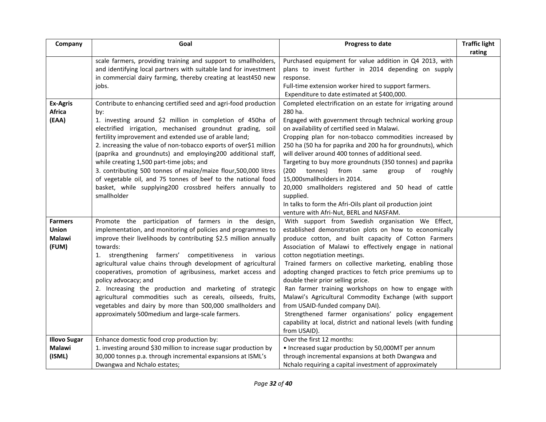| Company             | Goal                                                              | Progress to date                                                | <b>Traffic light</b> |
|---------------------|-------------------------------------------------------------------|-----------------------------------------------------------------|----------------------|
|                     |                                                                   |                                                                 | rating               |
|                     | scale farmers, providing training and support to smallholders,    | Purchased equipment for value addition in Q4 2013, with         |                      |
|                     | and identifying local partners with suitable land for investment  | plans to invest further in 2014 depending on supply             |                      |
|                     | in commercial dairy farming, thereby creating at least450 new     | response.                                                       |                      |
|                     | jobs.                                                             | Full-time extension worker hired to support farmers.            |                      |
|                     |                                                                   | Expenditure to date estimated at \$400,000.                     |                      |
| Ex-Agris            | Contribute to enhancing certified seed and agri-food production   | Completed electrification on an estate for irrigating around    |                      |
| <b>Africa</b>       | by:                                                               | 280 ha.                                                         |                      |
| (EAA)               | 1. investing around \$2 million in completion of 450ha of         | Engaged with government through technical working group         |                      |
|                     | electrified irrigation, mechanised groundnut grading, soil        | on availability of certified seed in Malawi.                    |                      |
|                     | fertility improvement and extended use of arable land;            | Cropping plan for non-tobacco commodities increased by          |                      |
|                     | 2. increasing the value of non-tobacco exports of over\$1 million | 250 ha (50 ha for paprika and 200 ha for groundnuts), which     |                      |
|                     | (paprika and groundnuts) and employing200 additional staff,       | will deliver around 400 tonnes of additional seed.              |                      |
|                     | while creating 1,500 part-time jobs; and                          | Targeting to buy more groundnuts (350 tonnes) and paprika       |                      |
|                     | 3. contributing 500 tonnes of maize/maize flour,500,000 litres    | (200)<br>tonnes)<br>from<br>group<br>roughly<br>same<br>οf      |                      |
|                     | of vegetable oil, and 75 tonnes of beef to the national food      | 15,000smallholders in 2014.                                     |                      |
|                     | basket, while supplying200 crossbred heifers annually to          | 20,000 smallholders registered and 50 head of cattle            |                      |
|                     | smallholder                                                       | supplied.                                                       |                      |
|                     |                                                                   | In talks to form the Afri-Oils plant oil production joint       |                      |
|                     |                                                                   | venture with Afri-Nut, BERL and NASFAM.                         |                      |
| <b>Farmers</b>      | Promote the participation of farmers in the design,               | With support from Swedish organisation We Effect,               |                      |
| <b>Union</b>        | implementation, and monitoring of policies and programmes to      | established demonstration plots on how to economically          |                      |
| <b>Malawi</b>       | improve their livelihoods by contributing \$2.5 million annually  | produce cotton, and built capacity of Cotton Farmers            |                      |
| (FUM)               | towards:                                                          | Association of Malawi to effectively engage in national         |                      |
|                     | 1. strengthening farmers' competitiveness in various              | cotton negotiation meetings.                                    |                      |
|                     | agricultural value chains through development of agricultural     | Trained farmers on collective marketing, enabling those         |                      |
|                     | cooperatives, promotion of agribusiness, market access and        | adopting changed practices to fetch price premiums up to        |                      |
|                     | policy advocacy; and                                              | double their prior selling price.                               |                      |
|                     | 2. Increasing the production and marketing of strategic           | Ran farmer training workshops on how to engage with             |                      |
|                     | agricultural commodities such as cereals, oilseeds, fruits,       | Malawi's Agricultural Commodity Exchange (with support          |                      |
|                     | vegetables and dairy by more than 500,000 smallholders and        | from USAID-funded company DAI).                                 |                      |
|                     | approximately 500 medium and large-scale farmers.                 | Strengthened farmer organisations' policy engagement            |                      |
|                     |                                                                   | capability at local, district and national levels (with funding |                      |
|                     |                                                                   | from USAID).                                                    |                      |
| <b>Illovo Sugar</b> | Enhance domestic food crop production by:                         | Over the first 12 months:                                       |                      |
| Malawi              | 1. investing around \$30 million to increase sugar production by  | • Increased sugar production by 50,000MT per annum              |                      |
| (ISML)              | 30,000 tonnes p.a. through incremental expansions at ISML's       | through incremental expansions at both Dwangwa and              |                      |
|                     | Dwangwa and Nchalo estates;                                       | Nchalo requiring a capital investment of approximately          |                      |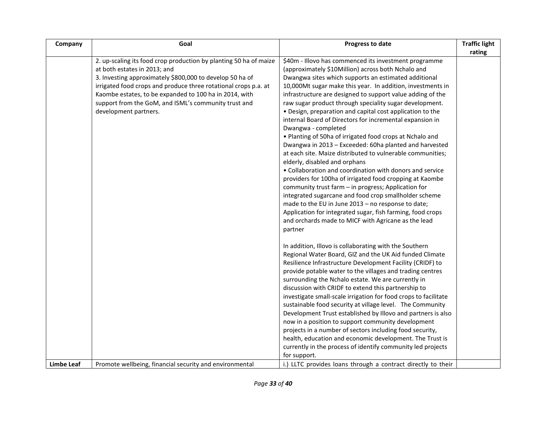| Company           | Goal                                                                                                                                                                                                                                                                                                                                                                        | Progress to date                                                                                                                                                                                                                                                                                                                                                                                                                                                                                                                                                                                                                                                                                                                                                                                                                                                                                                                                                                                                                                                                                                                                              | <b>Traffic light</b><br>rating |
|-------------------|-----------------------------------------------------------------------------------------------------------------------------------------------------------------------------------------------------------------------------------------------------------------------------------------------------------------------------------------------------------------------------|---------------------------------------------------------------------------------------------------------------------------------------------------------------------------------------------------------------------------------------------------------------------------------------------------------------------------------------------------------------------------------------------------------------------------------------------------------------------------------------------------------------------------------------------------------------------------------------------------------------------------------------------------------------------------------------------------------------------------------------------------------------------------------------------------------------------------------------------------------------------------------------------------------------------------------------------------------------------------------------------------------------------------------------------------------------------------------------------------------------------------------------------------------------|--------------------------------|
|                   | 2. up-scaling its food crop production by planting 50 ha of maize<br>at both estates in 2013; and<br>3. Investing approximately \$800,000 to develop 50 ha of<br>irrigated food crops and produce three rotational crops p.a. at<br>Kaombe estates, to be expanded to 100 ha in 2014, with<br>support from the GoM, and ISML's community trust and<br>development partners. | \$40m - Illovo has commenced its investment programme<br>(approximately \$10Million) across both Nchalo and<br>Dwangwa sites which supports an estimated additional<br>10,000Mt sugar make this year. In addition, investments in<br>infrastructure are designed to support value adding of the<br>raw sugar product through speciality sugar development.<br>• Design, preparation and capital cost application to the<br>internal Board of Directors for incremental expansion in<br>Dwangwa - completed<br>. Planting of 50ha of irrigated food crops at Nchalo and<br>Dwangwa in 2013 - Exceeded: 60ha planted and harvested<br>at each site. Maize distributed to vulnerable communities;<br>elderly, disabled and orphans<br>• Collaboration and coordination with donors and service<br>providers for 100ha of irrigated food cropping at Kaombe<br>community trust farm - in progress; Application for<br>integrated sugarcane and food crop smallholder scheme<br>made to the EU in June 2013 - no response to date;<br>Application for integrated sugar, fish farming, food crops<br>and orchards made to MICF with Agricane as the lead<br>partner |                                |
|                   |                                                                                                                                                                                                                                                                                                                                                                             | In addition, Illovo is collaborating with the Southern<br>Regional Water Board, GIZ and the UK Aid funded Climate<br>Resilience Infrastructure Development Facility (CRIDF) to<br>provide potable water to the villages and trading centres<br>surrounding the Nchalo estate. We are currently in<br>discussion with CRIDF to extend this partnership to<br>investigate small-scale irrigation for food crops to facilitate<br>sustainable food security at village level. The Community<br>Development Trust established by Illovo and partners is also<br>now in a position to support community development<br>projects in a number of sectors including food security,<br>health, education and economic development. The Trust is<br>currently in the process of identify community led projects                                                                                                                                                                                                                                                                                                                                                         |                                |
| <b>Limbe Leaf</b> | Promote wellbeing, financial security and environmental                                                                                                                                                                                                                                                                                                                     | for support.<br>i.) LLTC provides loans through a contract directly to their                                                                                                                                                                                                                                                                                                                                                                                                                                                                                                                                                                                                                                                                                                                                                                                                                                                                                                                                                                                                                                                                                  |                                |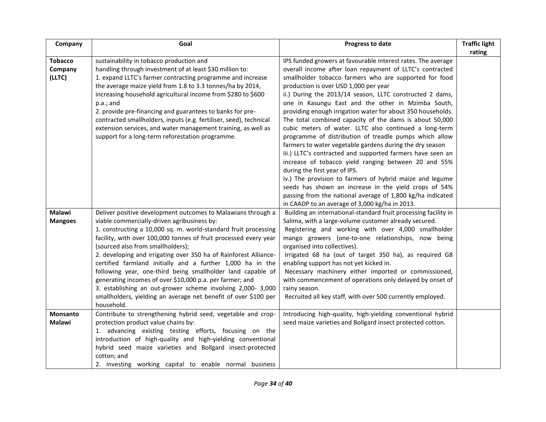| Company                             | Goal                                                                                                                                                                                                                                                                                                                                                                                                                                                                                                                                                                                                                                                                                                 | Progress to date                                                                                                                                                                                                                                                                                                                                                                                                                                                                                                                                                                                                                                                                                                                                                                                                                                                                                                                                                                                                                                    | <b>Traffic light</b> |
|-------------------------------------|------------------------------------------------------------------------------------------------------------------------------------------------------------------------------------------------------------------------------------------------------------------------------------------------------------------------------------------------------------------------------------------------------------------------------------------------------------------------------------------------------------------------------------------------------------------------------------------------------------------------------------------------------------------------------------------------------|-----------------------------------------------------------------------------------------------------------------------------------------------------------------------------------------------------------------------------------------------------------------------------------------------------------------------------------------------------------------------------------------------------------------------------------------------------------------------------------------------------------------------------------------------------------------------------------------------------------------------------------------------------------------------------------------------------------------------------------------------------------------------------------------------------------------------------------------------------------------------------------------------------------------------------------------------------------------------------------------------------------------------------------------------------|----------------------|
| <b>Tobacco</b><br>Company<br>(LLTC) | sustainability in tobacco production and<br>handling through investment of at least \$30 million to:<br>1. expand LLTC's farmer contracting programme and increase<br>the average maize yield from 1.8 to 3.3 tonnes/ha by 2014,<br>increasing household agricultural income from \$280 to \$600<br>p.a.; and<br>2. provide pre-financing and guarantees to banks for pre-<br>contracted smallholders, inputs (e.g. fertiliser, seed), technical<br>extension services, and water management training, as well as<br>support for a long-term reforestation programme.                                                                                                                                | IPS funded growers at favourable interest rates. The average<br>overall income after loan repayment of LLTC's contracted<br>smallholder tobacco farmers who are supported for food<br>production is over USD 1,000 per year<br>ii.) During the 2013/14 season, LLTC constructed 2 dams,<br>one in Kasungu East and the other in Mzimba South,<br>providing enough irrigation water for about 350 households.<br>The total combined capacity of the dams is about 50,000<br>cubic meters of water. LLTC also continued a long-term<br>programme of distribution of treadle pumps which allow<br>farmers to water vegetable gardens during the dry season<br>iii.) LLTC's contracted and supported farmers have seen an<br>increase of tobacco yield ranging between 20 and 55%<br>during the first year of IPS.<br>iv.) The provision to farmers of hybrid maize and legume<br>seeds has shown an increase in the yield crops of 54%<br>passing from the national average of 1,800 kg/ha indicated<br>in CAADP to an average of 3,000 kg/ha in 2013. | rating               |
| Malawi<br><b>Mangoes</b>            | Deliver positive development outcomes to Malawians through a<br>viable commercially-driven agribusiness by:<br>1. constructing a 10,000 sq. m. world-standard fruit processing<br>facility, with over 100,000 tonnes of fruit processed every year<br>(sourced also from smallholders);<br>2. developing and irrigating over 350 ha of Rainforest Alliance-<br>certified farmland initially and a further 1,000 ha in the<br>following year, one-third being smallholder land capable of<br>generating incomes of over \$10,000 p.a. per farmer; and<br>3. establishing an out-grower scheme involving 2,000- 3,000<br>smallholders, yielding an average net benefit of over \$100 per<br>household. | Building an international-standard fruit processing facility in<br>Salima, with a large-volume customer already secured.<br>Registering and working with over 4,000 smallholder<br>mango growers (one-to-one relationships, now being<br>organised into collectives).<br>Irrigated 68 ha (out of target 350 ha), as required G8<br>enabling support has not yet kicked in.<br>Necessary machinery either imported or commissioned,<br>with commencement of operations only delayed by onset of<br>rainy season.<br>Recruited all key staff, with over 500 currently employed.                                                                                                                                                                                                                                                                                                                                                                                                                                                                       |                      |
| Monsanto<br><b>Malawi</b>           | Contribute to strengthening hybrid seed, vegetable and crop-<br>protection product value chains by:<br>1. advancing existing testing efforts, focusing on the<br>introduction of high-quality and high-yielding conventional<br>hybrid seed maize varieties and Bollgard insect-protected<br>cotton; and<br>2. investing working capital to enable normal business                                                                                                                                                                                                                                                                                                                                   | Introducing high-quality, high-yielding conventional hybrid<br>seed maize varieties and Bollgard insect protected cotton.                                                                                                                                                                                                                                                                                                                                                                                                                                                                                                                                                                                                                                                                                                                                                                                                                                                                                                                           |                      |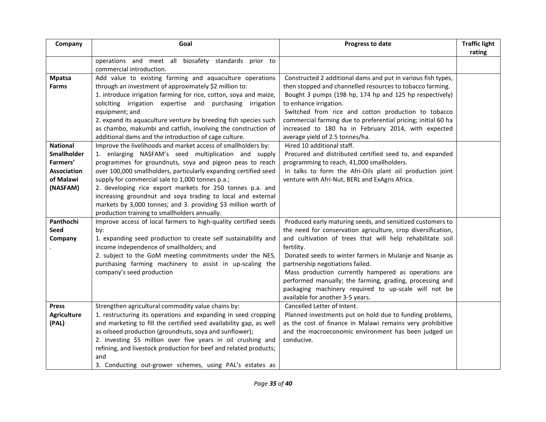| Company                                                                                                                    | Goal                                                                                                                                                                                                                                                                                                                                                                                                                                                                                                                                                                                                                                                                                                                                                                                                                                                                                                                                     | Progress to date                                                                                                                                                                                                                                                                                                                                                                                                                                                                                                                                                                                                                                                                         | <b>Traffic light</b><br>rating |
|----------------------------------------------------------------------------------------------------------------------------|------------------------------------------------------------------------------------------------------------------------------------------------------------------------------------------------------------------------------------------------------------------------------------------------------------------------------------------------------------------------------------------------------------------------------------------------------------------------------------------------------------------------------------------------------------------------------------------------------------------------------------------------------------------------------------------------------------------------------------------------------------------------------------------------------------------------------------------------------------------------------------------------------------------------------------------|------------------------------------------------------------------------------------------------------------------------------------------------------------------------------------------------------------------------------------------------------------------------------------------------------------------------------------------------------------------------------------------------------------------------------------------------------------------------------------------------------------------------------------------------------------------------------------------------------------------------------------------------------------------------------------------|--------------------------------|
|                                                                                                                            | operations and meet all biosafety standards prior to                                                                                                                                                                                                                                                                                                                                                                                                                                                                                                                                                                                                                                                                                                                                                                                                                                                                                     |                                                                                                                                                                                                                                                                                                                                                                                                                                                                                                                                                                                                                                                                                          |                                |
| <b>Mpatsa</b><br><b>Farms</b><br><b>National</b><br>Smallholder<br>Farmers'<br><b>Association</b><br>of Malawi<br>(NASFAM) | commercial introduction.<br>Add value to existing farming and aquaculture operations<br>through an investment of approximately \$2 million to:<br>1. introduce irrigation farming for rice, cotton, soya and maize,<br>soliciting irrigation expertise and purchasing irrigation<br>equipment; and<br>2. expand its aquaculture venture by breeding fish species such<br>as chambo, makumbi and catfish, involving the construction of<br>additional dams and the introduction of cage culture.<br>Improve the livelihoods and market access of smallholders by:<br>1. enlarging NASFAM's seed multiplication and supply<br>programmes for groundnuts, soya and pigeon peas to reach<br>over 100,000 smallholders, particularly expanding certified seed<br>supply for commercial sale to 1,000 tonnes p.a.;<br>2. developing rice export markets for 250 tonnes p.a. and<br>increasing groundnut and soya trading to local and external | Constructed 2 additional dams and put in various fish types,<br>then stopped and channelled resources to tobacco farming.<br>Bought 3 pumps (198 hp, 174 hp and 125 hp respectively)<br>to enhance irrigation.<br>Switched from rice and cotton production to tobacco<br>commercial farming due to preferential pricing; initial 60 ha<br>increased to 180 ha in February 2014, with expected<br>average yield of 2.5 tonnes/ha.<br>Hired 10 additional staff.<br>Procured and distributed certified seed to, and expanded<br>programming to reach, 41,000 smallholders.<br>In talks to form the Afri-Oils plant oil production joint<br>venture with Afri-Nut, BERL and ExAgris Africa. |                                |
|                                                                                                                            | markets by 3,000 tonnes; and 3. providing \$3 million worth of<br>production training to smallholders annually.                                                                                                                                                                                                                                                                                                                                                                                                                                                                                                                                                                                                                                                                                                                                                                                                                          |                                                                                                                                                                                                                                                                                                                                                                                                                                                                                                                                                                                                                                                                                          |                                |
| Panthochi<br><b>Seed</b><br>Company                                                                                        | Improve access of local farmers to high-quality certified seeds<br>by:<br>1. expanding seed production to create self sustainability and<br>income independence of smallholders; and<br>2. subject to the GoM meeting commitments under the NES,<br>purchasing farming machinery to assist in up-scaling the<br>company's seed production                                                                                                                                                                                                                                                                                                                                                                                                                                                                                                                                                                                                | Produced early maturing seeds, and sensitized customers to<br>the need for conservation agriculture, crop diversification,<br>and cultivation of trees that will help rehabilitate soil<br>fertility.<br>Donated seeds to winter farmers in Mulanje and Nsanje as<br>partnership negotiations failed.<br>Mass production currently hampered as operations are<br>performed manually; the farming, grading, processing and<br>packaging machinery required to up-scale will not be<br>available for another 3-5 years.                                                                                                                                                                    |                                |
| <b>Press</b><br><b>Agriculture</b><br>(PAL)                                                                                | Strengthen agricultural commodity value chains by:<br>1. restructuring its operations and expanding in seed cropping<br>and marketing to fill the certified seed availability gap, as well<br>as oilseed production (groundnuts, soya and sunflower);<br>2. investing \$5 million over five years in oil crushing and<br>refining, and livestock production for beef and related products;<br>and<br>3. Conducting out-grower schemes, using PAL's estates as                                                                                                                                                                                                                                                                                                                                                                                                                                                                            | Cancelled Letter of Intent.<br>Planned investments put on hold due to funding problems,<br>as the cost of finance in Malawi remains very prohibitive<br>and the macroeconomic environment has been judged un<br>conducive.                                                                                                                                                                                                                                                                                                                                                                                                                                                               |                                |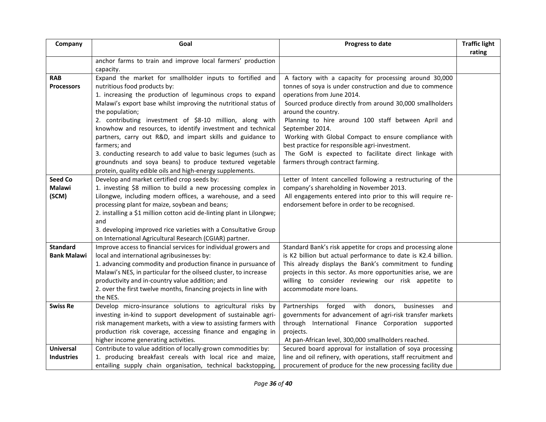| Company            | Goal                                                                                                                              | Progress to date                                                                                                       | <b>Traffic light</b> |
|--------------------|-----------------------------------------------------------------------------------------------------------------------------------|------------------------------------------------------------------------------------------------------------------------|----------------------|
|                    |                                                                                                                                   |                                                                                                                        | rating               |
|                    | anchor farms to train and improve local farmers' production<br>capacity.                                                          |                                                                                                                        |                      |
| <b>RAB</b>         | Expand the market for smallholder inputs to fortified and                                                                         | A factory with a capacity for processing around 30,000                                                                 |                      |
| <b>Processors</b>  | nutritious food products by:                                                                                                      | tonnes of soya is under construction and due to commence                                                               |                      |
|                    | 1. increasing the production of leguminous crops to expand                                                                        | operations from June 2014.                                                                                             |                      |
|                    | Malawi's export base whilst improving the nutritional status of                                                                   | Sourced produce directly from around 30,000 smallholders                                                               |                      |
|                    | the population;                                                                                                                   | around the country.                                                                                                    |                      |
|                    | 2. contributing investment of \$8-10 million, along with                                                                          | Planning to hire around 100 staff between April and                                                                    |                      |
|                    | knowhow and resources, to identify investment and technical                                                                       | September 2014.                                                                                                        |                      |
|                    | partners, carry out R&D, and impart skills and guidance to                                                                        | Working with Global Compact to ensure compliance with                                                                  |                      |
|                    | farmers; and                                                                                                                      | best practice for responsible agri-investment.                                                                         |                      |
|                    | 3. conducting research to add value to basic legumes (such as                                                                     | The GoM is expected to facilitate direct linkage with<br>farmers through contract farming.                             |                      |
|                    | groundnuts and soya beans) to produce textured vegetable<br>protein, quality edible oils and high-energy supplements.             |                                                                                                                        |                      |
| <b>Seed Co</b>     | Develop and market certified crop seeds by:                                                                                       | Letter of Intent cancelled following a restructuring of the                                                            |                      |
| <b>Malawi</b>      | 1. investing \$8 million to build a new processing complex in                                                                     | company's shareholding in November 2013.                                                                               |                      |
| (SCM)              | Lilongwe, including modern offices, a warehouse, and a seed                                                                       | All engagements entered into prior to this will require re-                                                            |                      |
|                    | processing plant for maize, soybean and beans;                                                                                    | endorsement before in order to be recognised.                                                                          |                      |
|                    | 2. installing a \$1 million cotton acid de-linting plant in Lilongwe;                                                             |                                                                                                                        |                      |
|                    | and                                                                                                                               |                                                                                                                        |                      |
|                    | 3. developing improved rice varieties with a Consultative Group                                                                   |                                                                                                                        |                      |
|                    | on International Agricultural Research (CGIAR) partner.                                                                           |                                                                                                                        |                      |
| <b>Standard</b>    | Improve access to financial services for individual growers and                                                                   | Standard Bank's risk appetite for crops and processing alone                                                           |                      |
| <b>Bank Malawi</b> | local and international agribusinesses by:                                                                                        | is K2 billion but actual performance to date is K2.4 billion.                                                          |                      |
|                    | 1. advancing commodity and production finance in pursuance of<br>Malawi's NES, in particular for the oilseed cluster, to increase | This already displays the Bank's commitment to funding<br>projects in this sector. As more opportunities arise, we are |                      |
|                    | productivity and in-country value addition; and                                                                                   | willing to consider reviewing our risk appetite to                                                                     |                      |
|                    | 2. over the first twelve months, financing projects in line with                                                                  | accommodate more loans.                                                                                                |                      |
|                    | the NES.                                                                                                                          |                                                                                                                        |                      |
| <b>Swiss Re</b>    | Develop micro-insurance solutions to agricultural risks by                                                                        | Partnerships forged<br>with<br>donors,<br>businesses<br>and                                                            |                      |
|                    | investing in-kind to support development of sustainable agri-                                                                     | governments for advancement of agri-risk transfer markets                                                              |                      |
|                    | risk management markets, with a view to assisting farmers with                                                                    | through International Finance Corporation supported                                                                    |                      |
|                    | production risk coverage, accessing finance and engaging in                                                                       | projects.                                                                                                              |                      |
|                    | higher income generating activities.                                                                                              | At pan-African level, 300,000 smallholders reached.                                                                    |                      |
| <b>Universal</b>   | Contribute to value addition of locally-grown commodities by:                                                                     | Secured board approval for installation of soya processing                                                             |                      |
| <b>Industries</b>  | 1. producing breakfast cereals with local rice and maize,                                                                         | line and oil refinery, with operations, staff recruitment and                                                          |                      |
|                    | entailing supply chain organisation, technical backstopping,                                                                      | procurement of produce for the new processing facility due                                                             |                      |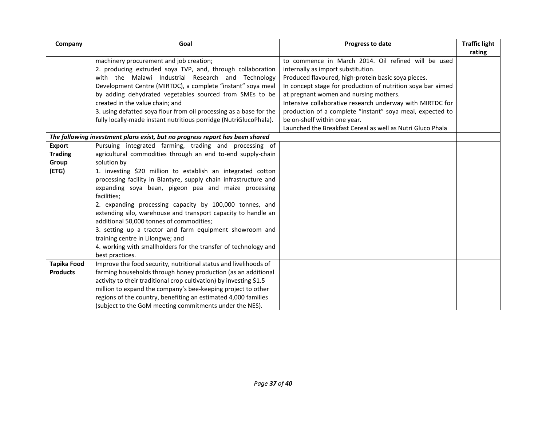<span id="page-36-0"></span>

| Company                               | Goal                                                                                                                                                                                                                                                                                                                                                                                                                                                                                                                                                                | Progress to date                                                                                                                                                                                                                                                                                                       | <b>Traffic light</b><br>rating |
|---------------------------------------|---------------------------------------------------------------------------------------------------------------------------------------------------------------------------------------------------------------------------------------------------------------------------------------------------------------------------------------------------------------------------------------------------------------------------------------------------------------------------------------------------------------------------------------------------------------------|------------------------------------------------------------------------------------------------------------------------------------------------------------------------------------------------------------------------------------------------------------------------------------------------------------------------|--------------------------------|
|                                       | machinery procurement and job creation;<br>2. producing extruded soya TVP, and, through collaboration<br>with the Malawi Industrial Research and Technology<br>Development Centre (MIRTDC), a complete "instant" soya meal<br>by adding dehydrated vegetables sourced from SMEs to be<br>created in the value chain; and                                                                                                                                                                                                                                            | to commence in March 2014. Oil refined will be used<br>internally as import substitution.<br>Produced flavoured, high-protein basic soya pieces.<br>In concept stage for production of nutrition soya bar aimed<br>at pregnant women and nursing mothers.<br>Intensive collaborative research underway with MIRTDC for |                                |
|                                       | 3. using defatted soya flour from oil processing as a base for the<br>fully locally-made instant nutritious porridge (NutriGlucoPhala).                                                                                                                                                                                                                                                                                                                                                                                                                             | production of a complete "instant" soya meal, expected to<br>be on-shelf within one year.<br>Launched the Breakfast Cereal as well as Nutri Gluco Phala                                                                                                                                                                |                                |
|                                       | The following investment plans exist, but no progress report has been shared                                                                                                                                                                                                                                                                                                                                                                                                                                                                                        |                                                                                                                                                                                                                                                                                                                        |                                |
| <b>Export</b><br><b>Trading</b>       | Pursuing integrated farming, trading and processing of<br>agricultural commodities through an end to-end supply-chain                                                                                                                                                                                                                                                                                                                                                                                                                                               |                                                                                                                                                                                                                                                                                                                        |                                |
| Group                                 | solution by                                                                                                                                                                                                                                                                                                                                                                                                                                                                                                                                                         |                                                                                                                                                                                                                                                                                                                        |                                |
| (ETG)                                 | 1. investing \$20 million to establish an integrated cotton<br>processing facility in Blantyre, supply chain infrastructure and<br>expanding soya bean, pigeon pea and maize processing<br>facilities;<br>2. expanding processing capacity by 100,000 tonnes, and<br>extending silo, warehouse and transport capacity to handle an<br>additional 50,000 tonnes of commodities;<br>3. setting up a tractor and farm equipment showroom and<br>training centre in Lilongwe; and<br>4. working with smallholders for the transfer of technology and<br>best practices. |                                                                                                                                                                                                                                                                                                                        |                                |
| <b>Tapika Food</b><br><b>Products</b> | Improve the food security, nutritional status and livelihoods of<br>farming households through honey production (as an additional<br>activity to their traditional crop cultivation) by investing \$1.5<br>million to expand the company's bee-keeping project to other<br>regions of the country, benefiting an estimated 4,000 families<br>(subject to the GoM meeting commitments under the NES).                                                                                                                                                                |                                                                                                                                                                                                                                                                                                                        |                                |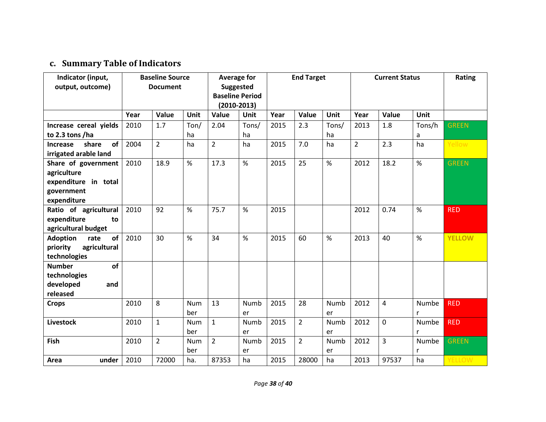## **c. Summary Table of Indicators**

| Indicator (input,             | <b>Baseline Source</b> |                | <b>Average for</b> |                        | <b>End Target</b> |      |                | <b>Current Status</b> |                |                | Rating      |               |
|-------------------------------|------------------------|----------------|--------------------|------------------------|-------------------|------|----------------|-----------------------|----------------|----------------|-------------|---------------|
| output, outcome)              | <b>Document</b>        |                | <b>Suggested</b>   |                        |                   |      |                |                       |                |                |             |               |
|                               |                        |                |                    | <b>Baseline Period</b> |                   |      |                |                       |                |                |             |               |
|                               |                        |                |                    | $(2010-2013)$          |                   |      |                |                       |                |                |             |               |
|                               | Year                   | Value          | <b>Unit</b>        | Value                  | Unit              | Year | Value          | <b>Unit</b>           | Year           | Value          | <b>Unit</b> |               |
| Increase cereal yields        | 2010                   | 1.7            | Ton/               | 2.04                   | Tons/             | 2015 | 2.3            | Tons/                 | 2013           | 1.8            | Tons/h      | <b>GREEN</b>  |
| to 2.3 tons /ha               |                        |                | ha                 |                        | ha                |      |                | ha                    |                |                | a           |               |
| of<br>share<br>Increase       | 2004                   | $\overline{2}$ | ha                 | $\overline{2}$         | ha                | 2015 | 7.0            | ha                    | $\overline{2}$ | 2.3            | ha          | Yellow        |
| irrigated arable land         |                        |                |                    |                        |                   |      |                |                       |                |                |             |               |
| Share of government           | 2010                   | 18.9           | %                  | 17.3                   | %                 | 2015 | 25             | %                     | 2012           | 18.2           | %           | <b>GREEN</b>  |
| agriculture                   |                        |                |                    |                        |                   |      |                |                       |                |                |             |               |
| expenditure in total          |                        |                |                    |                        |                   |      |                |                       |                |                |             |               |
| government                    |                        |                |                    |                        |                   |      |                |                       |                |                |             |               |
| expenditure                   |                        |                |                    |                        |                   |      |                |                       |                |                |             |               |
| Ratio of agricultural         | 2010                   | 92             | %                  | 75.7                   | $\%$              | 2015 |                |                       | 2012           | 0.74           | $\%$        | <b>RED</b>    |
| expenditure<br>to             |                        |                |                    |                        |                   |      |                |                       |                |                |             |               |
| agricultural budget           |                        |                |                    |                        |                   |      |                |                       |                |                |             |               |
| rate<br>of<br><b>Adoption</b> | 2010                   | 30             | %                  | 34                     | %                 | 2015 | 60             | %                     | 2013           | 40             | %           | <b>YELLOW</b> |
| agricultural<br>priority      |                        |                |                    |                        |                   |      |                |                       |                |                |             |               |
| technologies                  |                        |                |                    |                        |                   |      |                |                       |                |                |             |               |
| of<br><b>Number</b>           |                        |                |                    |                        |                   |      |                |                       |                |                |             |               |
| technologies                  |                        |                |                    |                        |                   |      |                |                       |                |                |             |               |
| developed<br>and              |                        |                |                    |                        |                   |      |                |                       |                |                |             |               |
| released                      |                        |                |                    |                        |                   |      |                |                       |                |                |             |               |
| <b>Crops</b>                  | 2010                   | 8              | <b>Num</b>         | 13                     | Numb              | 2015 | 28             | Numb                  | 2012           | $\overline{4}$ | Numbe       | <b>RED</b>    |
|                               |                        |                | ber                |                        | er                |      |                | er                    |                |                | r           |               |
| <b>Livestock</b>              | 2010                   | $\mathbf{1}$   | <b>Num</b>         | $\mathbf{1}$           | Numb              | 2015 | $\overline{2}$ | Numb                  | 2012           | $\mathbf 0$    | Numbe       | <b>RED</b>    |
|                               |                        |                | ber                |                        | er                |      |                | er                    |                |                | r           |               |
| Fish                          | 2010                   | $\overline{2}$ | <b>Num</b>         | $\overline{2}$         | Numb              | 2015 | $\overline{2}$ | Numb                  | 2012           | 3              | Numbe       | <b>GREEN</b>  |
|                               |                        |                | ber                |                        | er                |      |                | er                    |                |                | r           |               |
| Area<br>under                 | 2010                   | 72000          | ha.                | 87353                  | ha                | 2015 | 28000          | ha                    | 2013           | 97537          | ha          | YELLOW        |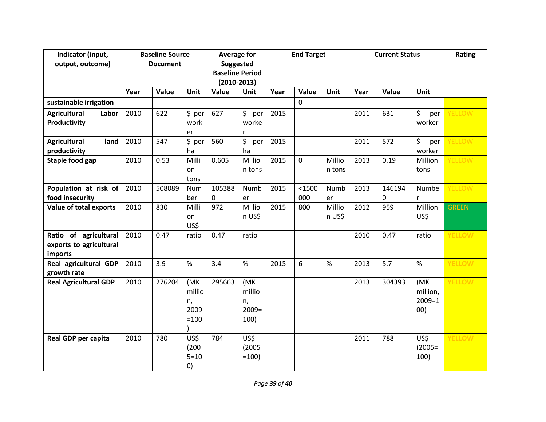| Indicator (input,            | <b>Baseline Source</b> |        | <b>Average for</b> |                                         | <b>End Target</b> |      |             | <b>Current Status</b> |      |             | Rating     |               |
|------------------------------|------------------------|--------|--------------------|-----------------------------------------|-------------------|------|-------------|-----------------------|------|-------------|------------|---------------|
| output, outcome)             | <b>Document</b>        |        |                    | <b>Suggested</b>                        |                   |      |             |                       |      |             |            |               |
|                              |                        |        |                    | <b>Baseline Period</b><br>$(2010-2013)$ |                   |      |             |                       |      |             |            |               |
|                              |                        |        |                    |                                         |                   |      |             |                       |      |             |            |               |
|                              | Year                   | Value  | Unit               | Value                                   | <b>Unit</b>       | Year | Value       | <b>Unit</b>           | Year | Value       | Unit       |               |
| sustainable irrigation       |                        |        |                    |                                         |                   |      | $\mathbf 0$ |                       |      |             |            |               |
| <b>Agricultural</b><br>Labor | 2010                   | 622    | \$~per             | 627                                     | $$$ per           | 2015 |             |                       | 2011 | 631         | \$<br>per  | <b>ELLOW</b>  |
| Productivity                 |                        |        | work               |                                         | worke             |      |             |                       |      |             | worker     |               |
|                              |                        |        | er                 |                                         |                   |      |             |                       |      |             |            |               |
| <b>Agricultural</b><br>land  | 2010                   | 547    | \$~per             | 560                                     | \$<br>per         | 2015 |             |                       | 2011 | 572         | \$<br>per  | <b>ELLOW</b>  |
| productivity                 |                        |        | ha                 |                                         | ha                |      |             |                       |      |             | worker     |               |
| Staple food gap              | 2010                   | 0.53   | Milli              | 0.605                                   | Millio            | 2015 | 0           | Millio                | 2013 | 0.19        | Million    | ELLOW         |
|                              |                        |        | on                 |                                         | n tons            |      |             | n tons                |      |             | tons       |               |
|                              |                        |        | tons               |                                         |                   |      |             |                       |      |             |            |               |
| Population at risk of        | 2010                   | 508089 | Num                | 105388                                  | Numb              | 2015 | $1500$      | Numb                  | 2013 | 146194      | Numbe      | <b>ELLOW</b>  |
| food insecurity              |                        |        | ber                | 0                                       | er                |      | 000         | er                    |      | $\mathbf 0$ | r          |               |
| Value of total exports       | 2010                   | 830    | Milli              | 972                                     | Millio            | 2015 | 800         | Millio                | 2012 | 959         | Million    | <b>GREEN</b>  |
|                              |                        |        | on                 |                                         | n US\$            |      |             | n US\$                |      |             | US\$       |               |
|                              |                        |        | US\$               |                                         |                   |      |             |                       |      |             |            |               |
| Ratio of agricultural        | 2010                   | 0.47   | ratio              | 0.47                                    | ratio             |      |             |                       | 2010 | 0.47        | ratio      | <b>YELLOW</b> |
| exports to agricultural      |                        |        |                    |                                         |                   |      |             |                       |      |             |            |               |
| imports                      |                        |        |                    |                                         |                   |      |             |                       |      |             |            |               |
| Real agricultural GDP        | 2010                   | 3.9    | %                  | 3.4                                     | $\%$              | 2015 | 6           | $\%$                  | 2013 | 5.7         | %          | <b>ELLOW</b>  |
| growth rate                  |                        |        |                    |                                         |                   |      |             |                       |      |             |            |               |
| <b>Real Agricultural GDP</b> | 2010                   | 276204 | (MK                | 295663                                  | (MK               |      |             |                       | 2013 | 304393      | (MK        | YELLOW        |
|                              |                        |        | millio             |                                         | millio            |      |             |                       |      |             | million,   |               |
|                              |                        |        | n,                 |                                         | n,                |      |             |                       |      |             | $2009 = 1$ |               |
|                              |                        |        | 2009               |                                         | $2009=$           |      |             |                       |      |             | 00)        |               |
|                              |                        |        | $=100$             |                                         | 100)              |      |             |                       |      |             |            |               |
|                              |                        |        |                    |                                         |                   |      |             |                       |      |             |            |               |
| <b>Real GDP per capita</b>   | 2010                   | 780    | US\$               | 784                                     | US\$              |      |             |                       | 2011 | 788         | US\$       | YELLOW        |
|                              |                        |        | (200)              |                                         | (2005)            |      |             |                       |      |             | $(2005=$   |               |
|                              |                        |        | $5 = 10$           |                                         | $=100$ )          |      |             |                       |      |             | 100)       |               |
|                              |                        |        | $\left( 0\right)$  |                                         |                   |      |             |                       |      |             |            |               |